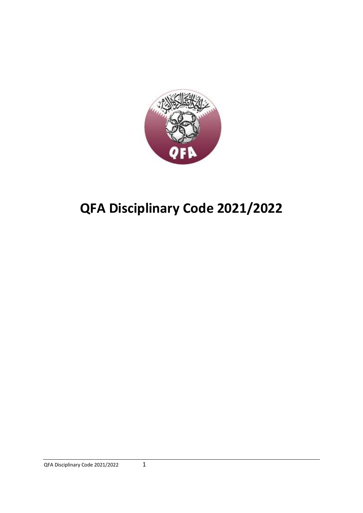

# **QFA Disciplinary Code 2021/2022**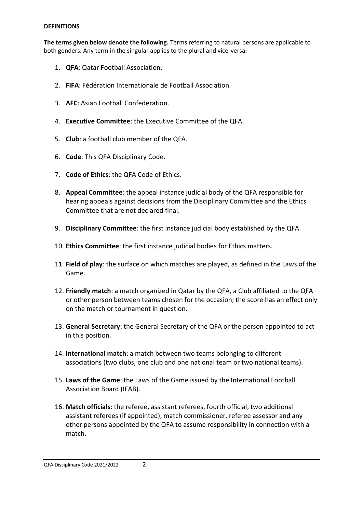#### **DEFINITIONS**

**The terms given below denote the following.** Terms referring to natural persons are applicable to both genders. Any term in the singular applies to the plural and vice-versa**:**

- 1. **QFA**: Qatar Football Association.
- 2. **FIFA**: Fédération Internationale de Football Association.
- 3. **AFC**: Asian Football Confederation.
- 4. **Executive Committee**: the Executive Committee of the QFA.
- 5. **Club**: a football club member of the QFA.
- 6. **Code**: This QFA Disciplinary Code.
- 7. **Code of Ethics**: the QFA Code of Ethics.
- 8. **Appeal Committee**: the appeal instance judicial body of the QFA responsible for hearing appeals against decisions from the Disciplinary Committee and the Ethics Committee that are not declared final.
- 9. **Disciplinary Committee**: the first instance judicial body established by the QFA.
- 10. **Ethics Committee**: the first instance judicial bodies for Ethics matters.
- 11. **Field of play**: the surface on which matches are played, as defined in the Laws of the Game.
- 12. **Friendly match**: a match organized in Qatar by the QFA, a Club affiliated to the QFA or other person between teams chosen for the occasion; the score has an effect only on the match or tournament in question.
- 13. **General Secretary**: the General Secretary of the QFA or the person appointed to act in this position.
- 14. **International match**: a match between two teams belonging to different associations (two clubs, one club and one national team or two national teams).
- 15. **Laws of the Game**: the Laws of the Game issued by the International Football Association Board (IFAB).
- 16. **Match officials**: the referee, assistant referees, fourth official, two additional assistant referees (if appointed), match commissioner, referee assessor and any other persons appointed by the QFA to assume responsibility in connection with a match.

#### QFA Disciplinary Code 2021/2022 2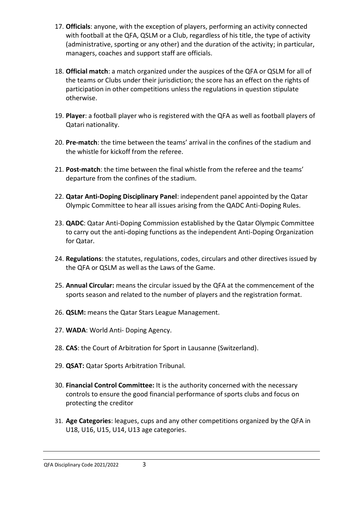- 17. **Officials**: anyone, with the exception of players, performing an activity connected with football at the QFA, QSLM or a Club, regardless of his title, the type of activity (administrative, sporting or any other) and the duration of the activity; in particular, managers, coaches and support staff are officials.
- 18. **Official match**: a match organized under the auspices of the QFA or QSLM for all of the teams or Clubs under their jurisdiction; the score has an effect on the rights of participation in other competitions unless the regulations in question stipulate otherwise.
- 19. **Player**: a football player who is registered with the QFA as well as football players of Qatari nationality.
- 20. **Pre-match**: the time between the teams' arrival in the confines of the stadium and the whistle for kickoff from the referee.
- 21. **Post-match**: the time between the final whistle from the referee and the teams' departure from the confines of the stadium.
- 22. **Qatar Anti-Doping Disciplinary Panel**: independent panel appointed by the Qatar Olympic Committee to hear all issues arising from the QADC Anti-Doping Rules.
- 23. **QADC**: Qatar Anti-Doping Commission established by the Qatar Olympic Committee to carry out the anti-doping functions as the independent Anti-Doping Organization for Qatar.
- 24. **Regulations**: the statutes, regulations, codes, circulars and other directives issued by the QFA or QSLM as well as the Laws of the Game.
- 25. **Annual Circular:** means the circular issued by the QFA at the commencement of the sports season and related to the number of players and the registration format.
- 26. **QSLM:** means the Qatar Stars League Management.
- 27. **WADA**: World Anti- Doping Agency.
- 28. **CAS**: the Court of Arbitration for Sport in Lausanne (Switzerland).
- 29. **QSAT:** Qatar Sports Arbitration Tribunal.
- 30. **Financial Control Committee:** It is the authority concerned with the necessary controls to ensure the good financial performance of sports clubs and focus on protecting the creditor
- 31. **Age Categories**: leagues, cups and any other competitions organized by the QFA in U18, U16, U15, U14, U13 age categories.

QFA Disciplinary Code 2021/2022 3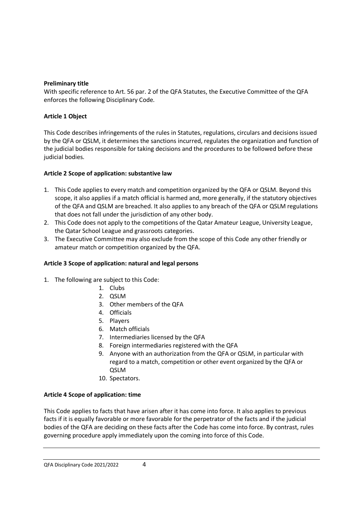### **Preliminary title**

With specific reference to Art. 56 par. 2 of the QFA Statutes, the Executive Committee of the QFA enforces the following Disciplinary Code.

### **Article 1 Object**

This Code describes infringements of the rules in Statutes, regulations, circulars and decisions issued by the QFA or QSLM, it determines the sanctions incurred, regulates the organization and function of the judicial bodies responsible for taking decisions and the procedures to be followed before these judicial bodies.

### **Article 2 Scope of application: substantive law**

- 1. This Code applies to every match and competition organized by the QFA or QSLM. Beyond this scope, it also applies if a match official is harmed and, more generally, if the statutory objectives of the QFA and QSLM are breached. It also applies to any breach of the QFA or QSLM regulations that does not fall under the jurisdiction of any other body.
- 2. This Code does not apply to the competitions of the Qatar Amateur League, University League, the Qatar School League and grassroots categories.
- 3. The Executive Committee may also exclude from the scope of this Code any other friendly or amateur match or competition organized by the QFA.

### **Article 3 Scope of application: natural and legal persons**

- 1. The following are subject to this Code:
	- 1. Clubs
	- 2. QSLM
	- 3. Other members of the QFA
	- 4. Officials
	- 5. Players
	- 6. Match officials
	- 7. Intermediaries licensed by the QFA
	- 8. Foreign intermediaries registered with the QFA
	- 9. Anyone with an authorization from the QFA or QSLM, in particular with regard to a match, competition or other event organized by the QFA or QSLM
	- 10. Spectators.

### **Article 4 Scope of application: time**

This Code applies to facts that have arisen after it has come into force. It also applies to previous facts if it is equally favorable or more favorable for the perpetrator of the facts and if the judicial bodies of the QFA are deciding on these facts after the Code has come into force. By contrast, rules governing procedure apply immediately upon the coming into force of this Code.

#### QFA Disciplinary Code 2021/2022 4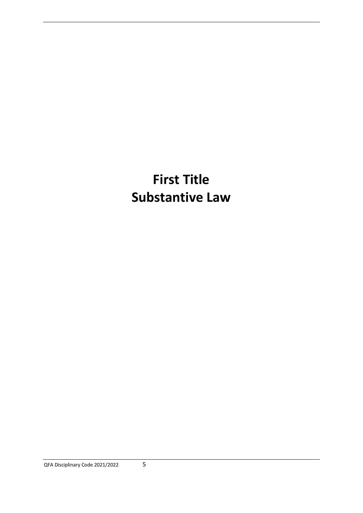# **First Title Substantive Law**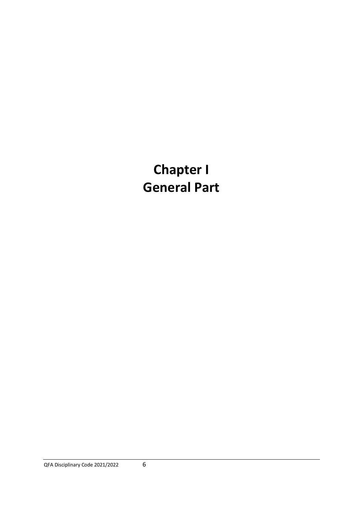# **Chapter I General Part**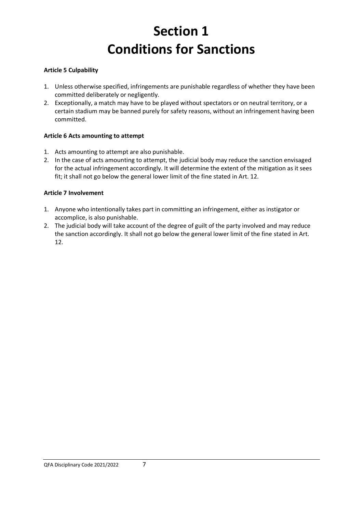# **Section 1 Conditions for Sanctions**

## **Article 5 Culpability**

- 1. Unless otherwise specified, infringements are punishable regardless of whether they have been committed deliberately or negligently.
- 2. Exceptionally, a match may have to be played without spectators or on neutral territory, or a certain stadium may be banned purely for safety reasons, without an infringement having been committed.

## **Article 6 Acts amounting to attempt**

- 1. Acts amounting to attempt are also punishable.
- 2. In the case of acts amounting to attempt, the judicial body may reduce the sanction envisaged for the actual infringement accordingly. It will determine the extent of the mitigation as it sees fit; it shall not go below the general lower limit of the fine stated in Art. 12.

## **Article 7 Involvement**

- 1. Anyone who intentionally takes part in committing an infringement, either as instigator or accomplice, is also punishable.
- 2. The judicial body will take account of the degree of guilt of the party involved and may reduce the sanction accordingly. It shall not go below the general lower limit of the fine stated in Art. 12.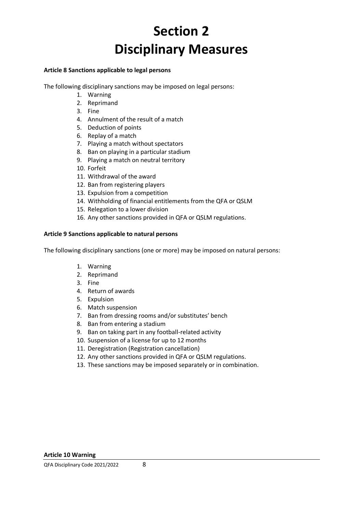# **Section 2 Disciplinary Measures**

#### **Article 8 Sanctions applicable to legal persons**

The following disciplinary sanctions may be imposed on legal persons:

- 1. Warning
- 2. Reprimand
- 3. Fine
- 4. Annulment of the result of a match
- 5. Deduction of points
- 6. Replay of a match
- 7. Playing a match without spectators
- 8. Ban on playing in a particular stadium
- 9. Playing a match on neutral territory
- 10. Forfeit
- 11. Withdrawal of the award
- 12. Ban from registering players
- 13. Expulsion from a competition
- 14. Withholding of financial entitlements from the QFA or QSLM
- 15. Relegation to a lower division
- 16. Any other sanctions provided in QFA or QSLM regulations.

#### **Article 9 Sanctions applicable to natural persons**

The following disciplinary sanctions (one or more) may be imposed on natural persons:

- 1. Warning
- 2. Reprimand
- 3. Fine
- 4. Return of awards
- 5. Expulsion
- 6. Match suspension
- 7. Ban from dressing rooms and/or substitutes' bench
- 8. Ban from entering a stadium
- 9. Ban on taking part in any football-related activity
- 10. Suspension of a license for up to 12 months
- 11. Deregistration (Registration cancellation)
- 12. Any other sanctions provided in QFA or QSLM regulations.
- 13. These sanctions may be imposed separately or in combination.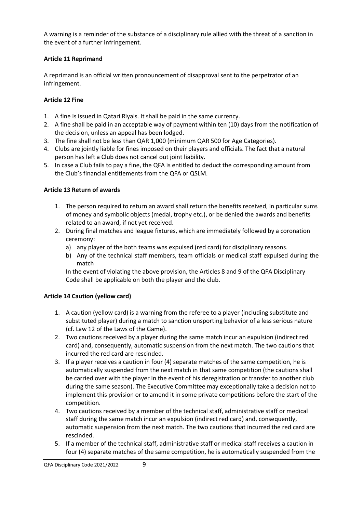A warning is a reminder of the substance of a disciplinary rule allied with the threat of a sanction in the event of a further infringement.

## **Article 11 Reprimand**

A reprimand is an official written pronouncement of disapproval sent to the perpetrator of an infringement.

## **Article 12 Fine**

- 1. A fine is issued in Qatari Riyals. It shall be paid in the same currency.
- 2. A fine shall be paid in an acceptable way of payment within ten (10) days from the notification of the decision, unless an appeal has been lodged.
- 3. The fine shall not be less than QAR 1,000 (minimum QAR 500 for Age Categories).
- 4. Clubs are jointly liable for fines imposed on their players and officials. The fact that a natural person has left a Club does not cancel out joint liability.
- 5. In case a Club fails to pay a fine, the QFA is entitled to deduct the corresponding amount from the Club's financial entitlements from the QFA or QSLM.

## **Article 13 Return of awards**

- 1. The person required to return an award shall return the benefits received, in particular sums of money and symbolic objects (medal, trophy etc.), or be denied the awards and benefits related to an award, if not yet received.
- 2. During final matches and league fixtures, which are immediately followed by a coronation ceremony:
	- a) any player of the both teams was expulsed (red card) for disciplinary reasons.
	- b) Any of the technical staff members, team officials or medical staff expulsed during the match

In the event of violating the above provision, the Articles 8 and 9 of the QFA Disciplinary Code shall be applicable on both the player and the club.

### **Article 14 Caution (yellow card)**

- 1. A caution (yellow card) is a warning from the referee to a player (including substitute and substituted player) during a match to sanction unsporting behavior of a less serious nature (cf. Law 12 of the Laws of the Game).
- 2. Two cautions received by a player during the same match incur an expulsion (indirect red card) and, consequently, automatic suspension from the next match. The two cautions that incurred the red card are rescinded.
- 3. If a player receives a caution in four (4) separate matches of the same competition, he is automatically suspended from the next match in that same competition (the cautions shall be carried over with the player in the event of his deregistration or transfer to another club during the same season). The Executive Committee may exceptionally take a decision not to implement this provision or to amend it in some private competitions before the start of the competition.
- 4. Two cautions received by a member of the technical staff, administrative staff or medical staff during the same match incur an expulsion (indirect red card) and, consequently, automatic suspension from the next match. The two cautions that incurred the red card are rescinded.
- 5. If a member of the technical staff, administrative staff or medical staff receives a caution in four (4) separate matches of the same competition, he is automatically suspended from the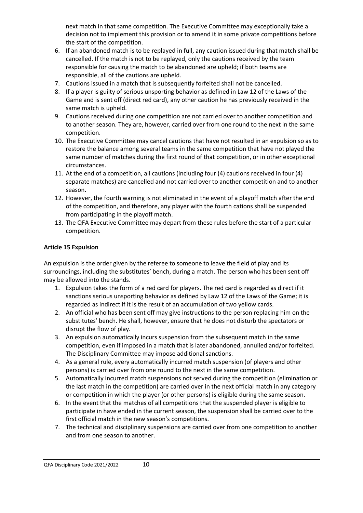next match in that same competition. The Executive Committee may exceptionally take a decision not to implement this provision or to amend it in some private competitions before the start of the competition.

- 6. If an abandoned match is to be replayed in full, any caution issued during that match shall be cancelled. If the match is not to be replayed, only the cautions received by the team responsible for causing the match to be abandoned are upheld; if both teams are responsible, all of the cautions are upheld.
- 7. Cautions issued in a match that is subsequently forfeited shall not be cancelled.
- 8. If a player is guilty of serious unsporting behavior as defined in Law 12 of the Laws of the Game and is sent off (direct red card), any other caution he has previously received in the same match is upheld.
- 9. Cautions received during one competition are not carried over to another competition and to another season. They are, however, carried over from one round to the next in the same competition.
- 10. The Executive Committee may cancel cautions that have not resulted in an expulsion so as to restore the balance among several teams in the same competition that have not played the same number of matches during the first round of that competition, or in other exceptional circumstances.
- 11. At the end of a competition, all cautions (including four (4) cautions received in four (4) separate matches) are cancelled and not carried over to another competition and to another season.
- 12. However, the fourth warning is not eliminated in the event of a playoff match after the end of the competition, and therefore, any player with the fourth cations shall be suspended from participating in the playoff match.
- 13. The QFA Executive Committee may depart from these rules before the start of a particular competition.

### **Article 15 Expulsion**

An expulsion is the order given by the referee to someone to leave the field of play and its surroundings, including the substitutes' bench, during a match. The person who has been sent off may be allowed into the stands.

- 1. Expulsion takes the form of a red card for players. The red card is regarded as direct if it sanctions serious unsporting behavior as defined by Law 12 of the Laws of the Game; it is regarded as indirect if it is the result of an accumulation of two yellow cards.
- 2. An official who has been sent off may give instructions to the person replacing him on the substitutes' bench. He shall, however, ensure that he does not disturb the spectators or disrupt the flow of play.
- 3. An expulsion automatically incurs suspension from the subsequent match in the same competition, even if imposed in a match that is later abandoned, annulled and/or forfeited. The Disciplinary Committee may impose additional sanctions.
- 4. As a general rule, every automatically incurred match suspension (of players and other persons) is carried over from one round to the next in the same competition.
- 5. Automatically incurred match suspensions not served during the competition (elimination or the last match in the competition) are carried over in the next official match in any category or competition in which the player (or other persons) is eligible during the same season.
- 6. In the event that the matches of all competitions that the suspended player is eligible to participate in have ended in the current season, the suspension shall be carried over to the first official match in the new season's competitions.
- 7. The technical and disciplinary suspensions are carried over from one competition to another and from one season to another.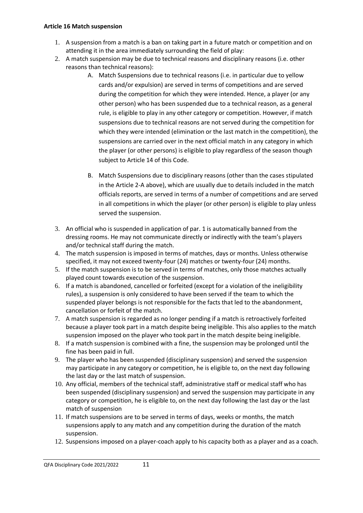#### **Article 16 Match suspension**

- 1. A suspension from a match is a ban on taking part in a future match or competition and on attending it in the area immediately surrounding the field of play:
- 2. A match suspension may be due to technical reasons and disciplinary reasons (i.e. other reasons than technical reasons):
	- A. Match Suspensions due to technical reasons (i.e. in particular due to yellow cards and/or expulsion) are served in terms of competitions and are served during the competition for which they were intended. Hence, a player (or any other person) who has been suspended due to a technical reason, as a general rule, is eligible to play in any other category or competition. However, if match suspensions due to technical reasons are not served during the competition for which they were intended (elimination or the last match in the competition), the suspensions are carried over in the next official match in any category in which the player (or other persons) is eligible to play regardless of the season though subject to Article 14 of this Code.
	- B. Match Suspensions due to disciplinary reasons (other than the cases stipulated in the Article 2-A above), which are usually due to details included in the match officials reports, are served in terms of a number of competitions and are served in all competitions in which the player (or other person) is eligible to play unless served the suspension.
- 3. An official who is suspended in application of par. 1 is automatically banned from the dressing rooms. He may not communicate directly or indirectly with the team's players and/or technical staff during the match.
- 4. The match suspension is imposed in terms of matches, days or months. Unless otherwise specified, it may not exceed twenty-four (24) matches or twenty-four (24) months.
- 5. If the match suspension is to be served in terms of matches, only those matches actually played count towards execution of the suspension.
- 6. If a match is abandoned, cancelled or forfeited (except for a violation of the ineligibility rules), a suspension is only considered to have been served if the team to which the suspended player belongs is not responsible for the facts that led to the abandonment, cancellation or forfeit of the match.
- 7. A match suspension is regarded as no longer pending if a match is retroactively forfeited because a player took part in a match despite being ineligible. This also applies to the match suspension imposed on the player who took part in the match despite being ineligible.
- 8. If a match suspension is combined with a fine, the suspension may be prolonged until the fine has been paid in full.
- 9. The player who has been suspended (disciplinary suspension) and served the suspension may participate in any category or competition, he is eligible to, on the next day following the last day or the last match of suspension.
- 10. Any official, members of the technical staff, administrative staff or medical staff who has been suspended (disciplinary suspension) and served the suspension may participate in any category or competition, he is eligible to, on the next day following the last day or the last match of suspension
- 11. If match suspensions are to be served in terms of days, weeks or months, the match suspensions apply to any match and any competition during the duration of the match suspension.
- 12. Suspensions imposed on a player-coach apply to his capacity both as a player and as a coach.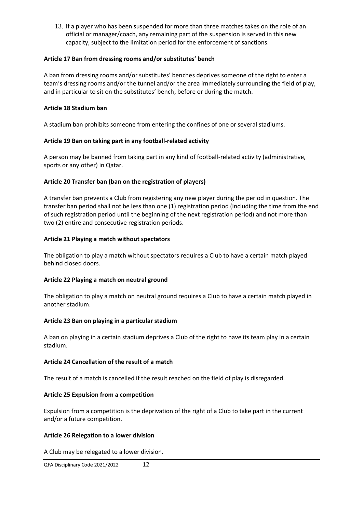13. If a player who has been suspended for more than three matches takes on the role of an official or manager/coach, any remaining part of the suspension is served in this new capacity, subject to the limitation period for the enforcement of sanctions.

#### **Article 17 Ban from dressing rooms and/or substitutes' bench**

A ban from dressing rooms and/or substitutes' benches deprives someone of the right to enter a team's dressing rooms and/or the tunnel and/or the area immediately surrounding the field of play, and in particular to sit on the substitutes' bench, before or during the match.

#### **Article 18 Stadium ban**

A stadium ban prohibits someone from entering the confines of one or several stadiums.

#### **Article 19 Ban on taking part in any football-related activity**

A person may be banned from taking part in any kind of football-related activity (administrative, sports or any other) in Qatar.

#### **Article 20 Transfer ban (ban on the registration of players)**

A transfer ban prevents a Club from registering any new player during the period in question. The transfer ban period shall not be less than one (1) registration period (including the time from the end of such registration period until the beginning of the next registration period) and not more than two (2) entire and consecutive registration periods.

#### **Article 21 Playing a match without spectators**

The obligation to play a match without spectators requires a Club to have a certain match played behind closed doors.

#### **Article 22 Playing a match on neutral ground**

The obligation to play a match on neutral ground requires a Club to have a certain match played in another stadium.

#### **Article 23 Ban on playing in a particular stadium**

A ban on playing in a certain stadium deprives a Club of the right to have its team play in a certain stadium.

#### **Article 24 Cancellation of the result of a match**

The result of a match is cancelled if the result reached on the field of play is disregarded.

#### **Article 25 Expulsion from a competition**

Expulsion from a competition is the deprivation of the right of a Club to take part in the current and/or a future competition.

#### **Article 26 Relegation to a lower division**

A Club may be relegated to a lower division.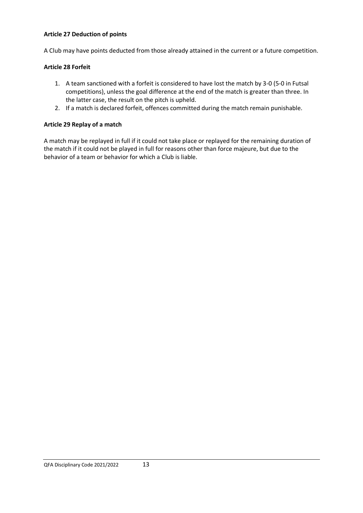#### **Article 27 Deduction of points**

A Club may have points deducted from those already attained in the current or a future competition.

#### **Article 28 Forfeit**

- 1. A team sanctioned with a forfeit is considered to have lost the match by 3-0 (5-0 in Futsal competitions), unless the goal difference at the end of the match is greater than three. In the latter case, the result on the pitch is upheld.
- 2. If a match is declared forfeit, offences committed during the match remain punishable.

### **Article 29 Replay of a match**

A match may be replayed in full if it could not take place or replayed for the remaining duration of the match if it could not be played in full for reasons other than force majeure, but due to the behavior of a team or behavior for which a Club is liable.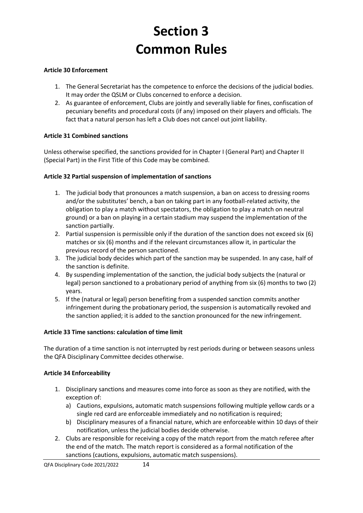# **Section 3 Common Rules**

## **Article 30 Enforcement**

- 1. The General Secretariat has the competence to enforce the decisions of the judicial bodies. It may order the QSLM or Clubs concerned to enforce a decision.
- 2. As guarantee of enforcement, Clubs are jointly and severally liable for fines, confiscation of pecuniary benefits and procedural costs (if any) imposed on their players and officials. The fact that a natural person has left a Club does not cancel out joint liability.

### **Article 31 Combined sanctions**

Unless otherwise specified, the sanctions provided for in Chapter I (General Part) and Chapter II (Special Part) in the First Title of this Code may be combined.

### **Article 32 Partial suspension of implementation of sanctions**

- 1. The judicial body that pronounces a match suspension, a ban on access to dressing rooms and/or the substitutes' bench, a ban on taking part in any football-related activity, the obligation to play a match without spectators, the obligation to play a match on neutral ground) or a ban on playing in a certain stadium may suspend the implementation of the sanction partially.
- 2. Partial suspension is permissible only if the duration of the sanction does not exceed six (6) matches or six (6) months and if the relevant circumstances allow it, in particular the previous record of the person sanctioned.
- 3. The judicial body decides which part of the sanction may be suspended. In any case, half of the sanction is definite.
- 4. By suspending implementation of the sanction, the judicial body subjects the (natural or legal) person sanctioned to a probationary period of anything from six (6) months to two (2) years.
- 5. If the (natural or legal) person benefiting from a suspended sanction commits another infringement during the probationary period, the suspension is automatically revoked and the sanction applied; it is added to the sanction pronounced for the new infringement.

### **Article 33 Time sanctions: calculation of time limit**

The duration of a time sanction is not interrupted by rest periods during or between seasons unless the QFA Disciplinary Committee decides otherwise.

### **Article 34 Enforceability**

- 1. Disciplinary sanctions and measures come into force as soon as they are notified, with the exception of:
	- a) Cautions, expulsions, automatic match suspensions following multiple yellow cards or a single red card are enforceable immediately and no notification is required;
	- b) Disciplinary measures of a financial nature, which are enforceable within 10 days of their notification, unless the judicial bodies decide otherwise.
- 2. Clubs are responsible for receiving a copy of the match report from the match referee after the end of the match. The match report is considered as a formal notification of the sanctions (cautions, expulsions, automatic match suspensions).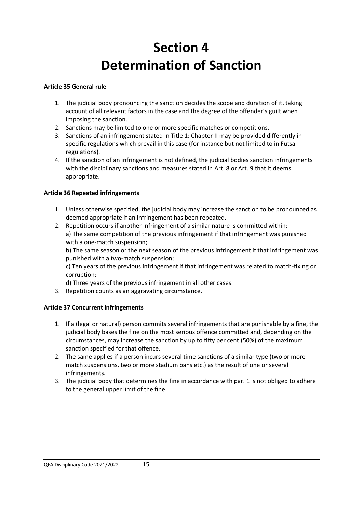# **Section 4 Determination of Sanction**

## **Article 35 General rule**

- 1. The judicial body pronouncing the sanction decides the scope and duration of it, taking account of all relevant factors in the case and the degree of the offender's guilt when imposing the sanction.
- 2. Sanctions may be limited to one or more specific matches or competitions.
- 3. Sanctions of an infringement stated in Title 1: Chapter II may be provided differently in specific regulations which prevail in this case (for instance but not limited to in Futsal regulations).
- 4. If the sanction of an infringement is not defined, the judicial bodies sanction infringements with the disciplinary sanctions and measures stated in Art. 8 or Art. 9 that it deems appropriate.

## **Article 36 Repeated infringements**

- 1. Unless otherwise specified, the judicial body may increase the sanction to be pronounced as deemed appropriate if an infringement has been repeated.
- 2. Repetition occurs if another infringement of a similar nature is committed within: a) The same competition of the previous infringement if that infringement was punished with a one-match suspension;

b) The same season or the next season of the previous infringement if that infringement was punished with a two-match suspension;

c) Ten years of the previous infringement if that infringement was related to match-fixing or corruption;

d) Three years of the previous infringement in all other cases.

3. Repetition counts as an aggravating circumstance.

## **Article 37 Concurrent infringements**

- 1. If a (legal or natural) person commits several infringements that are punishable by a fine, the judicial body bases the fine on the most serious offence committed and, depending on the circumstances, may increase the sanction by up to fifty per cent (50%) of the maximum sanction specified for that offence.
- 2. The same applies if a person incurs several time sanctions of a similar type (two or more match suspensions, two or more stadium bans etc.) as the result of one or several infringements.
- 3. The judicial body that determines the fine in accordance with par. 1 is not obliged to adhere to the general upper limit of the fine.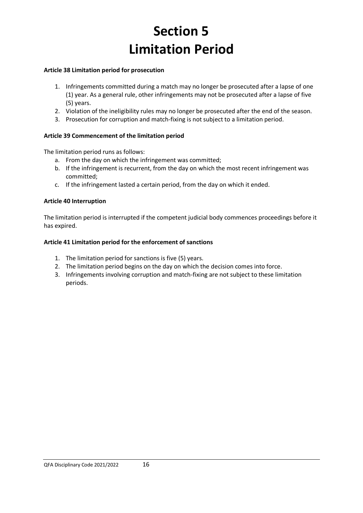# **Section 5 Limitation Period**

#### **Article 38 Limitation period for prosecution**

- 1. Infringements committed during a match may no longer be prosecuted after a lapse of one (1) year. As a general rule, other infringements may not be prosecuted after a lapse of five (5) years.
- 2. Violation of the ineligibility rules may no longer be prosecuted after the end of the season.
- 3. Prosecution for corruption and match-fixing is not subject to a limitation period.

## **Article 39 Commencement of the limitation period**

The limitation period runs as follows:

- a. From the day on which the infringement was committed;
- b. If the infringement is recurrent, from the day on which the most recent infringement was committed;
- c. If the infringement lasted a certain period, from the day on which it ended.

#### **Article 40 Interruption**

The limitation period is interrupted if the competent judicial body commences proceedings before it has expired.

#### **Article 41 Limitation period for the enforcement of sanctions**

- 1. The limitation period for sanctions is five (5) years.
- 2. The limitation period begins on the day on which the decision comes into force.
- 3. Infringements involving corruption and match-fixing are not subject to these limitation periods.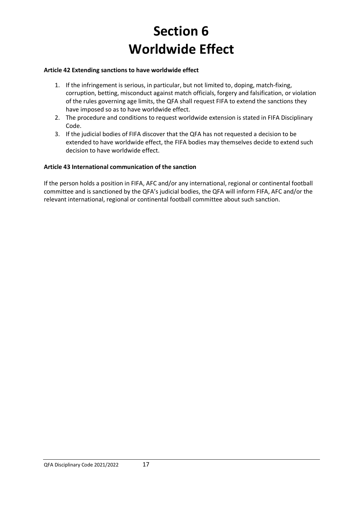# **Section 6 Worldwide Effect**

#### **Article 42 Extending sanctions to have worldwide effect**

- 1. If the infringement is serious, in particular, but not limited to, doping, match-fixing, corruption, betting, misconduct against match officials, forgery and falsification, or violation of the rules governing age limits, the QFA shall request FIFA to extend the sanctions they have imposed so as to have worldwide effect.
- 2. The procedure and conditions to request worldwide extension is stated in FIFA Disciplinary Code.
- 3. If the judicial bodies of FIFA discover that the QFA has not requested a decision to be extended to have worldwide effect, the FIFA bodies may themselves decide to extend such decision to have worldwide effect.

#### **Article 43 International communication of the sanction**

If the person holds a position in FIFA, AFC and/or any international, regional or continental football committee and is sanctioned by the QFA's judicial bodies, the QFA will inform FIFA, AFC and/or the relevant international, regional or continental football committee about such sanction.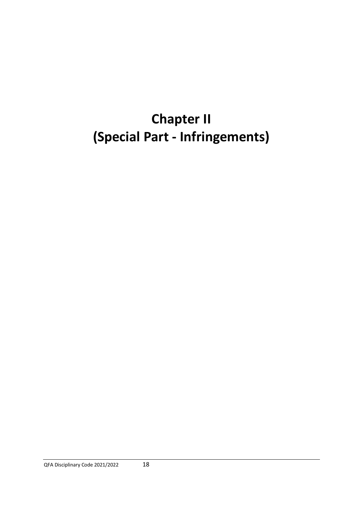# **Chapter II (Special Part - Infringements)**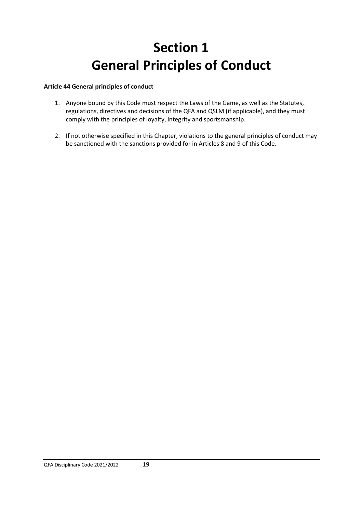# **Section 1 General Principles of Conduct**

## **Article 44 General principles of conduct**

- 1. Anyone bound by this Code must respect the Laws of the Game, as well as the Statutes, regulations, directives and decisions of the QFA and QSLM (if applicable), and they must comply with the principles of loyalty, integrity and sportsmanship.
- 2. If not otherwise specified in this Chapter, violations to the general principles of conduct may be sanctioned with the sanctions provided for in Articles 8 and 9 of this Code.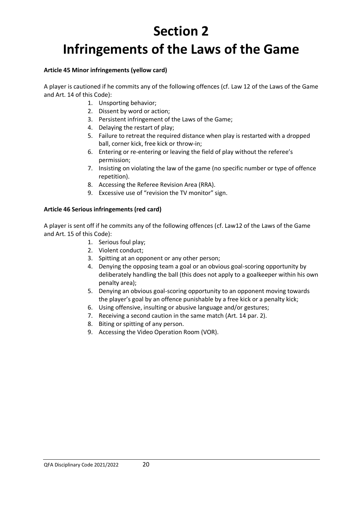# **Section 2 Infringements of the Laws of the Game**

#### **Article 45 Minor infringements (yellow card)**

A player is cautioned if he commits any of the following offences (cf. Law 12 of the Laws of the Game and Art. 14 of this Code):

- 1. Unsporting behavior;
- 2. Dissent by word or action;
- 3. Persistent infringement of the Laws of the Game;
- 4. Delaying the restart of play;
- 5. Failure to retreat the required distance when play is restarted with a dropped ball, corner kick, free kick or throw-in;
- 6. Entering or re-entering or leaving the field of play without the referee's permission;
- 7. Insisting on violating the law of the game (no specific number or type of offence repetition).
- 8. Accessing the Referee Revision Area (RRA).
- 9. Excessive use of "revision the TV monitor" sign.

#### **Article 46 Serious infringements (red card)**

A player is sent off if he commits any of the following offences (cf. Law12 of the Laws of the Game and Art. 15 of this Code):

- 1. Serious foul play;
- 2. Violent conduct;
- 3. Spitting at an opponent or any other person;
- 4. Denying the opposing team a goal or an obvious goal-scoring opportunity by deliberately handling the ball (this does not apply to a goalkeeper within his own penalty area);
- 5. Denying an obvious goal-scoring opportunity to an opponent moving towards the player's goal by an offence punishable by a free kick or a penalty kick;
- 6. Using offensive, insulting or abusive language and/or gestures;
- 7. Receiving a second caution in the same match (Art. 14 par. 2).
- 8. Biting or spitting of any person.
- 9. Accessing the Video Operation Room (VOR).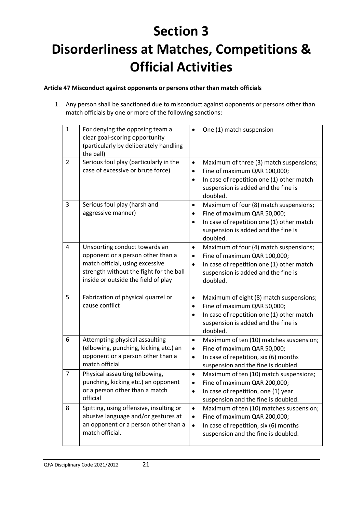# **Section 3 Disorderliness at Matches, Competitions & Official Activities**

## **Article 47 Misconduct against opponents or persons other than match officials**

1. Any person shall be sanctioned due to misconduct against opponents or persons other than match officials by one or more of the following sanctions:

| $\mathbf{1}$ | For denying the opposing team a<br>clear goal-scoring opportunity<br>(particularly by deliberately handling<br>the ball)                                                                | One (1) match suspension                                                                                                                                                                                      |
|--------------|-----------------------------------------------------------------------------------------------------------------------------------------------------------------------------------------|---------------------------------------------------------------------------------------------------------------------------------------------------------------------------------------------------------------|
| 2            | Serious foul play (particularly in the<br>case of excessive or brute force)                                                                                                             | Maximum of three (3) match suspensions;<br>$\bullet$<br>Fine of maximum QAR 100,000;<br>٠<br>In case of repetition one (1) other match<br>$\bullet$<br>suspension is added and the fine is<br>doubled.        |
| 3            | Serious foul play (harsh and<br>aggressive manner)                                                                                                                                      | Maximum of four (8) match suspensions;<br>$\bullet$<br>Fine of maximum QAR 50,000;<br>$\bullet$<br>In case of repetition one (1) other match<br>$\bullet$<br>suspension is added and the fine is<br>doubled.  |
| 4            | Unsporting conduct towards an<br>opponent or a person other than a<br>match official, using excessive<br>strength without the fight for the ball<br>inside or outside the field of play | Maximum of four (4) match suspensions;<br>$\bullet$<br>Fine of maximum QAR 100,000;<br>$\bullet$<br>In case of repetition one (1) other match<br>$\bullet$<br>suspension is added and the fine is<br>doubled. |
| 5            | Fabrication of physical quarrel or<br>cause conflict                                                                                                                                    | Maximum of eight (8) match suspensions;<br>$\bullet$<br>Fine of maximum QAR 50,000;<br>$\bullet$<br>In case of repetition one (1) other match<br>$\bullet$<br>suspension is added and the fine is<br>doubled. |
| 6            | Attempting physical assaulting<br>(elbowing, punching, kicking etc.) an<br>opponent or a person other than a<br>match official                                                          | Maximum of ten (10) matches suspension;<br>$\bullet$<br>Fine of maximum QAR 50,000;<br>$\bullet$<br>In case of repetition, six (6) months<br>$\bullet$<br>suspension and the fine is doubled.                 |
| 7            | Physical assaulting (elbowing,<br>punching, kicking etc.) an opponent<br>or a person other than a match<br>official                                                                     | Maximum of ten (10) match suspensions;<br>$\bullet$<br>Fine of maximum QAR 200,000;<br>$\bullet$<br>In case of repetition, one (1) year<br>$\bullet$<br>suspension and the fine is doubled.                   |
| 8            | Spitting, using offensive, insulting or<br>abusive language and/or gestures at<br>an opponent or a person other than a<br>match official.                                               | Maximum of ten (10) matches suspension;<br>$\bullet$<br>Fine of maximum QAR 200,000;<br>$\bullet$<br>In case of repetition, six (6) months<br>$\bullet$<br>suspension and the fine is doubled.                |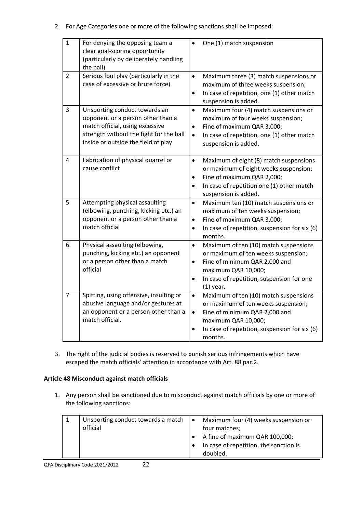2. For Age Categories one or more of the following sanctions shall be imposed:

| $\mathbf{1}$   | For denying the opposing team a<br>clear goal-scoring opportunity<br>(particularly by deliberately handling<br>the ball)                                                                | One (1) match suspension                                                                                                                                                                                                                |
|----------------|-----------------------------------------------------------------------------------------------------------------------------------------------------------------------------------------|-----------------------------------------------------------------------------------------------------------------------------------------------------------------------------------------------------------------------------------------|
| 2              | Serious foul play (particularly in the<br>case of excessive or brute force)                                                                                                             | Maximum three (3) match suspensions or<br>$\bullet$<br>maximum of three weeks suspension;<br>In case of repetition, one (1) other match<br>$\bullet$<br>suspension is added.                                                            |
| 3              | Unsporting conduct towards an<br>opponent or a person other than a<br>match official, using excessive<br>strength without the fight for the ball<br>inside or outside the field of play | Maximum four (4) match suspensions or<br>$\bullet$<br>maximum of four weeks suspension;<br>Fine of maximum QAR 3,000;<br>$\bullet$<br>In case of repetition, one (1) other match<br>$\bullet$<br>suspension is added.                   |
| $\overline{4}$ | Fabrication of physical quarrel or<br>cause conflict                                                                                                                                    | Maximum of eight (8) match suspensions<br>$\bullet$<br>or maximum of eight weeks suspension;<br>Fine of maximum QAR 2,000;<br>$\bullet$<br>In case of repetition one (1) other match<br>$\bullet$<br>suspension is added.               |
| 5              | Attempting physical assaulting<br>(elbowing, punching, kicking etc.) an<br>opponent or a person other than a<br>match official                                                          | $\bullet$<br>Maximum ten (10) match suspensions or<br>maximum of ten weeks suspension;<br>Fine of maximum QAR 3,000;<br>$\bullet$<br>In case of repetition, suspension for six (6)<br>months.                                           |
| 6              | Physical assaulting (elbowing,<br>punching, kicking etc.) an opponent<br>or a person other than a match<br>official                                                                     | Maximum of ten (10) match suspensions<br>$\bullet$<br>or maximum of ten weeks suspension;<br>Fine of minimum QAR 2,000 and<br>$\bullet$<br>maximum QAR 10,000;<br>In case of repetition, suspension for one<br>$\bullet$<br>$(1)$ year. |
| $\overline{7}$ | Spitting, using offensive, insulting or<br>abusive language and/or gestures at<br>an opponent or a person other than a<br>match official.                                               | Maximum of ten (10) match suspensions<br>$\bullet$<br>or maximum of ten weeks suspension;<br>Fine of minimum QAR 2,000 and<br>$\bullet$<br>maximum QAR 10,000;<br>In case of repetition, suspension for six (6)<br>$\bullet$<br>months. |

3. The right of the judicial bodies is reserved to punish serious infringements which have escaped the match officials' attention in accordance with Art. 88 par.2.

### **Article 48 Misconduct against match officials**

1. Any person shall be sanctioned due to misconduct against match officials by one or more of the following sanctions:

| Unsporting conduct towards a match $\vert \bullet \vert$<br>official | Maximum four (4) weeks suspension or<br>four matches;<br>A fine of maximum QAR 100,000;<br>In case of repetition, the sanction is<br>doubled. |
|----------------------------------------------------------------------|-----------------------------------------------------------------------------------------------------------------------------------------------|
|                                                                      |                                                                                                                                               |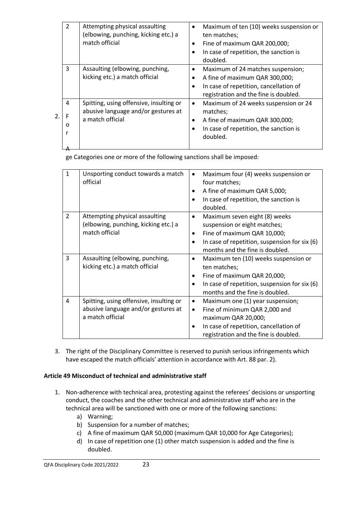|    | $\overline{2}$ | Attempting physical assaulting<br>(elbowing, punching, kicking etc.) a<br>match official           | Maximum of ten (10) weeks suspension or<br>ten matches;<br>Fine of maximum QAR 200,000;<br>In case of repetition, the sanction is<br>doubled.          |
|----|----------------|----------------------------------------------------------------------------------------------------|--------------------------------------------------------------------------------------------------------------------------------------------------------|
|    | 3              | Assaulting (elbowing, punching,<br>kicking etc.) a match official                                  | Maximum of 24 matches suspension;<br>A fine of maximum QAR 300,000;<br>In case of repetition, cancellation of<br>registration and the fine is doubled. |
| 2. | 4<br>O         | Spitting, using offensive, insulting or<br>abusive language and/or gestures at<br>a match official | Maximum of 24 weeks suspension or 24<br>matches;<br>A fine of maximum QAR 300,000;<br>In case of repetition, the sanction is<br>doubled.               |

ge Categories one or more of the following sanctions shall be imposed:

| 1              | Unsporting conduct towards a match<br>official                                                     | Maximum four (4) weeks suspension or<br>four matches;<br>A fine of maximum QAR 5,000;<br>In case of repetition, the sanction is<br>doubled.                                                           |
|----------------|----------------------------------------------------------------------------------------------------|-------------------------------------------------------------------------------------------------------------------------------------------------------------------------------------------------------|
| $\overline{2}$ | Attempting physical assaulting<br>(elbowing, punching, kicking etc.) a<br>match official           | Maximum seven eight (8) weeks<br>suspension or eight matches;<br>Fine of maximum QAR 10,000;<br>In case of repetition, suspension for six (6)<br>months and the fine is doubled.                      |
| 3              | Assaulting (elbowing, punching,<br>kicking etc.) a match official                                  | Maximum ten (10) weeks suspension or<br>ten matches;<br>Fine of maximum QAR 20,000;<br>In case of repetition, suspension for six (6)<br>months and the fine is doubled.                               |
| 4              | Spitting, using offensive, insulting or<br>abusive language and/or gestures at<br>a match official | Maximum one (1) year suspension;<br>$\bullet$<br>Fine of minimum QAR 2,000 and<br>$\bullet$<br>maximum QAR 20,000;<br>In case of repetition, cancellation of<br>registration and the fine is doubled. |

3. The right of the Disciplinary Committee is reserved to punish serious infringements which have escaped the match officials' attention in accordance with Art. 88 par. 2).

## **Article 49 Misconduct of technical and administrative staff**

- 1. Non-adherence with technical area, protesting against the referees' decisions or unsporting conduct, the coaches and the other technical and administrative staff who are in the technical area will be sanctioned with one or more of the following sanctions:
	- a) Warning;
	- b) Suspension for a number of matches;
	- c) A fine of maximum QAR 50,000 (maximum QAR 10,000 for Age Categories);
	- d) In case of repetition one (1) other match suspension is added and the fine is doubled.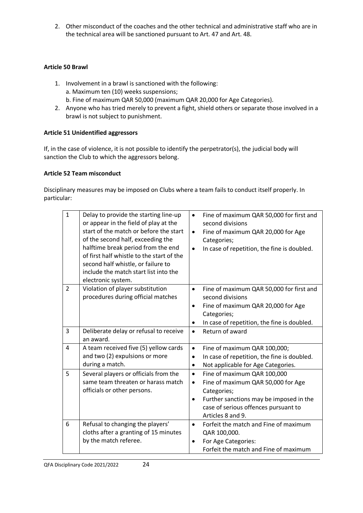2. Other misconduct of the coaches and the other technical and administrative staff who are in the technical area will be sanctioned pursuant to Art. 47 and Art. 48.

## **Article 50 Brawl**

- 1. Involvement in a brawl is sanctioned with the following: a. Maximum ten (10) weeks suspensions; b. Fine of maximum QAR 50,000 (maximum QAR 20,000 for Age Categories).
- 2. Anyone who has tried merely to prevent a fight, shield others or separate those involved in a brawl is not subject to punishment.

## **Article 51 Unidentified aggressors**

If, in the case of violence, it is not possible to identify the perpetrator(s), the judicial body will sanction the Club to which the aggressors belong.

### **Article 52 Team misconduct**

Disciplinary measures may be imposed on Clubs where a team fails to conduct itself properly. In particular:

| $\mathbf{1}$   | Delay to provide the starting line-up<br>or appear in the field of play at the<br>start of the match or before the start<br>of the second half, exceeding the<br>halftime break period from the end<br>of first half whistle to the start of the<br>second half whistle, or failure to<br>include the match start list into the<br>electronic system. | Fine of maximum QAR 50,000 for first and<br>$\bullet$<br>second divisions<br>Fine of maximum QAR 20,000 for Age<br>$\bullet$<br>Categories;<br>In case of repetition, the fine is doubled.<br>$\bullet$                         |
|----------------|-------------------------------------------------------------------------------------------------------------------------------------------------------------------------------------------------------------------------------------------------------------------------------------------------------------------------------------------------------|---------------------------------------------------------------------------------------------------------------------------------------------------------------------------------------------------------------------------------|
| 2              | Violation of player substitution<br>procedures during official matches                                                                                                                                                                                                                                                                                | Fine of maximum QAR 50,000 for first and<br>$\bullet$<br>second divisions<br>Fine of maximum QAR 20,000 for Age<br>$\bullet$<br>Categories;<br>In case of repetition, the fine is doubled.<br>$\bullet$                         |
| 3              | Deliberate delay or refusal to receive<br>an award.                                                                                                                                                                                                                                                                                                   | Return of award<br>$\bullet$                                                                                                                                                                                                    |
| $\overline{4}$ | A team received five (5) yellow cards<br>and two (2) expulsions or more<br>during a match.                                                                                                                                                                                                                                                            | $\bullet$<br>Fine of maximum QAR 100,000;<br>In case of repetition, the fine is doubled.<br>$\bullet$<br>Not applicable for Age Categories.<br>$\bullet$                                                                        |
| 5              | Several players or officials from the<br>same team threaten or harass match<br>officials or other persons.                                                                                                                                                                                                                                            | Fine of maximum QAR 100,000<br>$\bullet$<br>Fine of maximum QAR 50,000 for Age<br>$\bullet$<br>Categories;<br>Further sanctions may be imposed in the<br>$\bullet$<br>case of serious offences pursuant to<br>Articles 8 and 9. |
| 6              | Refusal to changing the players'<br>cloths after a granting of 15 minutes<br>by the match referee.                                                                                                                                                                                                                                                    | Forfeit the match and Fine of maximum<br>$\bullet$<br>QAR 100,000.<br>For Age Categories:<br>$\bullet$<br>Forfeit the match and Fine of maximum                                                                                 |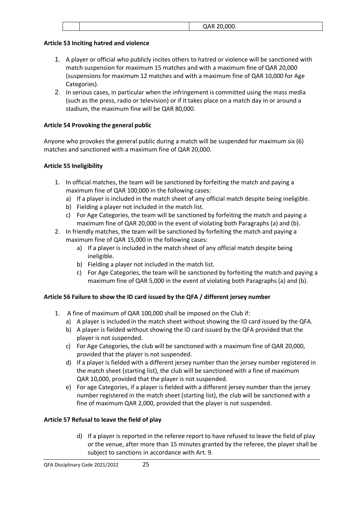|  | $\bigcap$ AR 20.000<br>UAR ZU,UUU. |
|--|------------------------------------|
|  |                                    |

### **Article 53 Inciting hatred and violence**

- 1. A player or official who publicly incites others to hatred or violence will be sanctioned with match suspension for maximum 15 matches and with a maximum fine of QAR 20,000 (suspensions for maximum 12 matches and with a maximum fine of QAR 10,000 for Age Categories).
- 2. In serious cases, in particular when the infringement is committed using the mass media (such as the press, radio or television) or if it takes place on a match day in or around a stadium, the maximum fine will be QAR 80,000.

## **Article 54 Provoking the general public**

Anyone who provokes the general public during a match will be suspended for maximum six (6) matches and sanctioned with a maximum fine of QAR 20,000.

## **Article 55 Ineligibility**

- 1. In official matches, the team will be sanctioned by forfeiting the match and paying a maximum fine of QAR 100,000 in the following cases:
	- a) If a player is included in the match sheet of any official match despite being ineligible.
	- b) Fielding a player not included in the match list.
	- c) For Age Categories, the team will be sanctioned by forfeiting the match and paying a maximum fine of QAR 20,000 in the event of violating both Paragraphs (a) and (b).
- 2. In friendly matches, the team will be sanctioned by forfeiting the match and paying a maximum fine of QAR 15,000 in the following cases:
	- a) If a player is included in the match sheet of any official match despite being ineligible.
	- b) Fielding a player not included in the match list.
	- c) For Age Categories, the team will be sanctioned by forfeiting the match and paying a maximum fine of QAR 5,000 in the event of violating both Paragraphs (a) and (b).

## **Article 56 Failure to show the ID card issued by the QFA / different jersey number**

- 1. A fine of maximum of QAR 100,000 shall be imposed on the Club if:
	- a) A player is included in the match sheet without showing the ID card issued by the QFA.
	- b) A player is fielded without showing the ID card issued by the QFA provided that the player is not suspended.
	- c) For Age Categories, the club will be sanctioned with a maximum fine of QAR 20,000, provided that the player is not suspended.
	- d) If a player is fielded with a different jersey number than the jersey number registered in the match sheet (starting list), the club will be sanctioned with a fine of maximum QAR 10,000, provided that the player is not suspended.
	- e) For age Categories, if a player is fielded with a different jersey number than the jersey number registered in the match sheet (starting list), the club will be sanctioned with a fine of maximum QAR 2,000, provided that the player is not suspended.

### **Article 57 Refusal to leave the field of play**

d) If a player is reported in the referee report to have refused to leave the field of play or the venue, after more than 15 minutes granted by the referee, the player shall be subject to sanctions in accordance with Art. 9.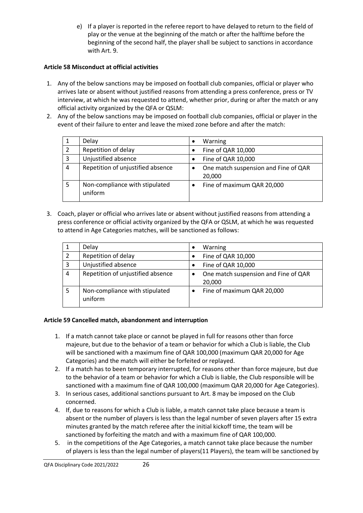e) If a player is reported in the referee report to have delayed to return to the field of play or the venue at the beginning of the match or after the halftime before the beginning of the second half, the player shall be subject to sanctions in accordance with Art. 9.

## **Article 58 Misconduct at official activities**

- 1. Any of the below sanctions may be imposed on football club companies, official or player who arrives late or absent without justified reasons from attending a press conference, press or TV interview, at which he was requested to attend, whether prior, during or after the match or any official activity organized by the QFA or QSLM:
- 2. Any of the below sanctions may be imposed on football club companies, official or player in the event of their failure to enter and leave the mixed zone before and after the match:

|   | Delay                                     | Warning                    |                                      |
|---|-------------------------------------------|----------------------------|--------------------------------------|
| 2 | Repetition of delay                       | Fine of QAR 10,000         |                                      |
| 3 | Unjustified absence                       | Fine of QAR 10,000         |                                      |
| 4 | Repetition of unjustified absence         | 20,000                     | One match suspension and Fine of QAR |
|   | Non-compliance with stipulated<br>uniform | Fine of maximum QAR 20,000 |                                      |

3. Coach, player or official who arrives late or absent without justified reasons from attending a press conference or official activity organized by the QFA or QSLM, at which he was requested to attend in Age Categories matches, will be sanctioned as follows:

|   | Delay                                     | Warning                                        |
|---|-------------------------------------------|------------------------------------------------|
|   | Repetition of delay                       | Fine of QAR 10,000                             |
| 3 | Unjustified absence                       | Fine of QAR 10,000                             |
| 4 | Repetition of unjustified absence         | One match suspension and Fine of QAR<br>20,000 |
|   | Non-compliance with stipulated<br>uniform | Fine of maximum QAR 20,000                     |

### **Article 59 Cancelled match, abandonment and interruption**

- 1. If a match cannot take place or cannot be played in full for reasons other than force majeure, but due to the behavior of a team or behavior for which a Club is liable, the Club will be sanctioned with a maximum fine of QAR 100,000 (maximum QAR 20,000 for Age Categories) and the match will either be forfeited or replayed.
- 2. If a match has to been temporary interrupted, for reasons other than force majeure, but due to the behavior of a team or behavior for which a Club is liable, the Club responsible will be sanctioned with a maximum fine of QAR 100,000 (maximum QAR 20,000 for Age Categories).
- 3. In serious cases, additional sanctions pursuant to Art. 8 may be imposed on the Club concerned.
- 4. If, due to reasons for which a Club is liable, a match cannot take place because a team is absent or the number of players is less than the legal number of seven players after 15 extra minutes granted by the match referee after the initial kickoff time, the team will be sanctioned by forfeiting the match and with a maximum fine of QAR 100,000.
- 5. in the competitions of the Age Categories, a match cannot take place because the number of players is less than the legal number of players(11 Players), the team will be sanctioned by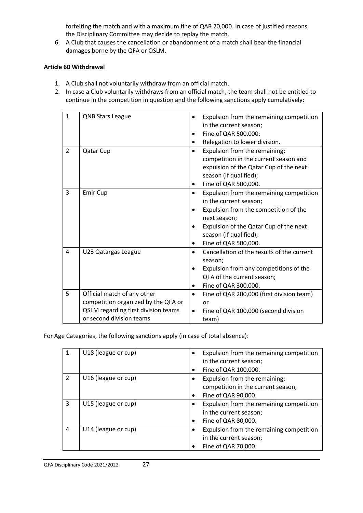forfeiting the match and with a maximum fine of QAR 20,000. In case of justified reasons, the Disciplinary Committee may decide to replay the match.

6. A Club that causes the cancellation or abandonment of a match shall bear the financial damages borne by the QFA or QSLM.

#### **Article 60 Withdrawal**

- 1. A Club shall not voluntarily withdraw from an official match.
- 2. In case a Club voluntarily withdraws from an official match, the team shall not be entitled to continue in the competition in question and the following sanctions apply cumulatively:

| $\mathbf{1}$   | <b>QNB Stars League</b>                                                                                                               | Expulsion from the remaining competition<br>$\bullet$<br>in the current season;<br>Fine of QAR 500,000;                                                                                                                                           |
|----------------|---------------------------------------------------------------------------------------------------------------------------------------|---------------------------------------------------------------------------------------------------------------------------------------------------------------------------------------------------------------------------------------------------|
|                |                                                                                                                                       | Relegation to lower division.                                                                                                                                                                                                                     |
| $\overline{2}$ | Qatar Cup                                                                                                                             | Expulsion from the remaining;<br>$\bullet$<br>competition in the current season and<br>expulsion of the Qatar Cup of the next<br>season (if qualified);<br>Fine of QAR 500,000.                                                                   |
| 3              | Emir Cup                                                                                                                              | Expulsion from the remaining competition<br>$\bullet$<br>in the current season;<br>Expulsion from the competition of the<br>next season;<br>Expulsion of the Qatar Cup of the next<br>season (if qualified);<br>Fine of QAR 500,000.<br>$\bullet$ |
| 4              | U23 Qatargas League                                                                                                                   | Cancellation of the results of the current<br>$\bullet$<br>season;<br>Expulsion from any competitions of the<br>$\bullet$<br>QFA of the current season;<br>Fine of QAR 300,000.<br>$\bullet$                                                      |
| 5              | Official match of any other<br>competition organized by the QFA or<br>QSLM regarding first division teams<br>or second division teams | Fine of QAR 200,000 (first division team)<br>$\bullet$<br>or<br>Fine of QAR 100,000 (second division<br>$\bullet$<br>team)                                                                                                                        |

For Age Categories, the following sanctions apply (in case of total absence):

| 1             | U18 (league or cup) | Expulsion from the remaining competition<br>in the current season;<br>Fine of QAR 100,000. |
|---------------|---------------------|--------------------------------------------------------------------------------------------|
| $\mathcal{P}$ | U16 (league or cup) | Expulsion from the remaining;<br>competition in the current season;<br>Fine of QAR 90,000. |
| 3             | U15 (league or cup) | Expulsion from the remaining competition<br>in the current season;<br>Fine of QAR 80,000.  |
| 4             | U14 (league or cup) | Expulsion from the remaining competition<br>in the current season;<br>Fine of QAR 70,000.  |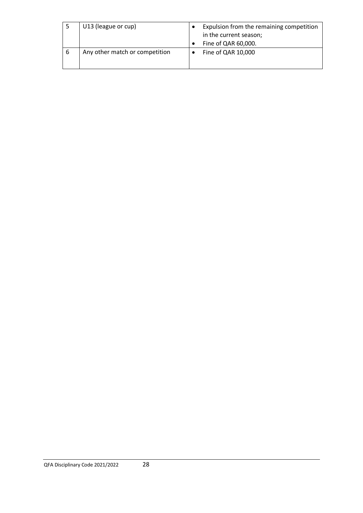|   | U13 (league or cup)            | Expulsion from the remaining competition<br>in the current season;<br>Fine of QAR 60,000. |
|---|--------------------------------|-------------------------------------------------------------------------------------------|
| 6 | Any other match or competition | Fine of QAR 10,000                                                                        |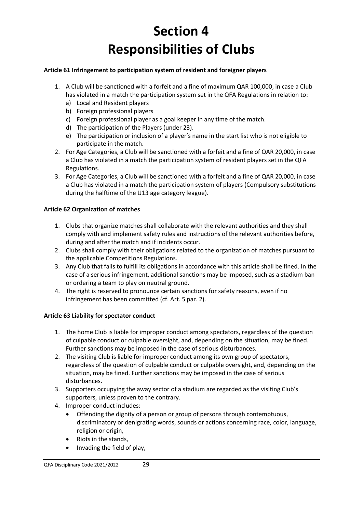# **Section 4 Responsibilities of Clubs**

### **Article 61 Infringement to participation system of resident and foreigner players**

- 1. A Club will be sanctioned with a forfeit and a fine of maximum QAR 100,000, in case a Club has violated in a match the participation system set in the QFA Regulations in relation to:
	- a) Local and Resident players
	- b) Foreign professional players
	- c) Foreign professional player as a goal keeper in any time of the match.
	- d) The participation of the Players (under 23).
	- e) The participation or inclusion of a player's name in the start list who is not eligible to participate in the match.
- 2. For Age Categories, a Club will be sanctioned with a forfeit and a fine of QAR 20,000, in case a Club has violated in a match the participation system of resident players set in the QFA Regulations.
- 3. For Age Categories, a Club will be sanctioned with a forfeit and a fine of QAR 20,000, in case a Club has violated in a match the participation system of players (Compulsory substitutions during the halftime of the U13 age category league).

## **Article 62 Organization of matches**

- 1. Clubs that organize matches shall collaborate with the relevant authorities and they shall comply with and implement safety rules and instructions of the relevant authorities before, during and after the match and if incidents occur.
- 2. Clubs shall comply with their obligations related to the organization of matches pursuant to the applicable Competitions Regulations.
- 3. Any Club that fails to fulfill its obligations in accordance with this article shall be fined. In the case of a serious infringement, additional sanctions may be imposed, such as a stadium ban or ordering a team to play on neutral ground.
- 4. The right is reserved to pronounce certain sanctions for safety reasons, even if no infringement has been committed (cf. Art. 5 par. 2).

### **Article 63 Liability for spectator conduct**

- 1. The home Club is liable for improper conduct among spectators, regardless of the question of culpable conduct or culpable oversight, and, depending on the situation, may be fined. Further sanctions may be imposed in the case of serious disturbances.
- 2. The visiting Club is liable for improper conduct among its own group of spectators, regardless of the question of culpable conduct or culpable oversight, and, depending on the situation, may be fined. Further sanctions may be imposed in the case of serious disturbances.
- 3. Supporters occupying the away sector of a stadium are regarded as the visiting Club's supporters, unless proven to the contrary.
- 4. Improper conduct includes:
	- Offending the dignity of a person or group of persons through contemptuous, discriminatory or denigrating words, sounds or actions concerning race, color, language, religion or origin,
	- Riots in the stands,
	- Invading the field of play,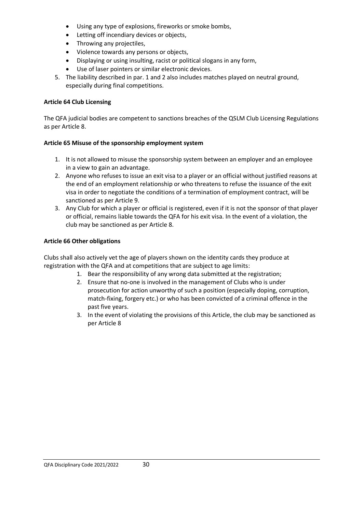- Using any type of explosions, fireworks or smoke bombs,
- Letting off incendiary devices or objects,
- Throwing any projectiles,
- Violence towards any persons or objects,
- Displaying or using insulting, racist or political slogans in any form,
- Use of laser pointers or similar electronic devices.
- 5. The liability described in par. 1 and 2 also includes matches played on neutral ground, especially during final competitions.

### **Article 64 Club Licensing**

The QFA judicial bodies are competent to sanctions breaches of the QSLM Club Licensing Regulations as per Article 8.

### **Article 65 Misuse of the sponsorship employment system**

- 1. It is not allowed to misuse the sponsorship system between an employer and an employee in a view to gain an advantage.
- 2. Anyone who refuses to issue an exit visa to a player or an official without justified reasons at the end of an employment relationship or who threatens to refuse the issuance of the exit visa in order to negotiate the conditions of a termination of employment contract, will be sanctioned as per Article 9.
- 3. Any Club for which a player or official is registered, even if it is not the sponsor of that player or official, remains liable towards the QFA for his exit visa. In the event of a violation, the club may be sanctioned as per Article 8.

### **Article 66 Other obligations**

Clubs shall also actively vet the age of players shown on the identity cards they produce at registration with the QFA and at competitions that are subject to age limits:

- 1. Bear the responsibility of any wrong data submitted at the registration;
- 2. Ensure that no-one is involved in the management of Clubs who is under prosecution for action unworthy of such a position (especially doping, corruption, match-fixing, forgery etc.) or who has been convicted of a criminal offence in the past five years.
- 3. In the event of violating the provisions of this Article, the club may be sanctioned as per Article 8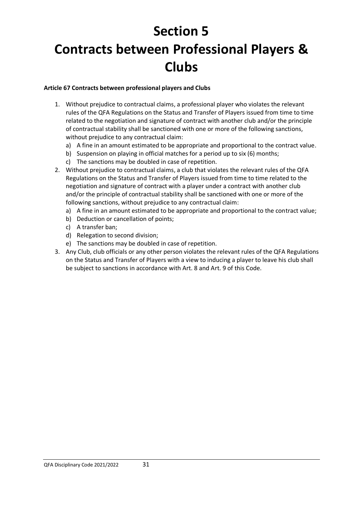# **Section 5 Contracts between Professional Players & Clubs**

### **Article 67 Contracts between professional players and Clubs**

- 1. Without prejudice to contractual claims, a professional player who violates the relevant rules of the QFA Regulations on the Status and Transfer of Players issued from time to time related to the negotiation and signature of contract with another club and/or the principle of contractual stability shall be sanctioned with one or more of the following sanctions, without prejudice to any contractual claim:
	- a) A fine in an amount estimated to be appropriate and proportional to the contract value.
	- b) Suspension on playing in official matches for a period up to six (6) months;
	- c) The sanctions may be doubled in case of repetition.
- 2. Without prejudice to contractual claims, a club that violates the relevant rules of the QFA Regulations on the Status and Transfer of Players issued from time to time related to the negotiation and signature of contract with a player under a contract with another club and/or the principle of contractual stability shall be sanctioned with one or more of the following sanctions, without prejudice to any contractual claim:
	- a) A fine in an amount estimated to be appropriate and proportional to the contract value;
	- b) Deduction or cancellation of points;
	- c) A transfer ban;
	- d) Relegation to second division;
	- e) The sanctions may be doubled in case of repetition.
- 3. Any Club, club officials or any other person violates the relevant rules of the QFA Regulations on the Status and Transfer of Players with a view to inducing a player to leave his club shall be subject to sanctions in accordance with Art. 8 and Art. 9 of this Code.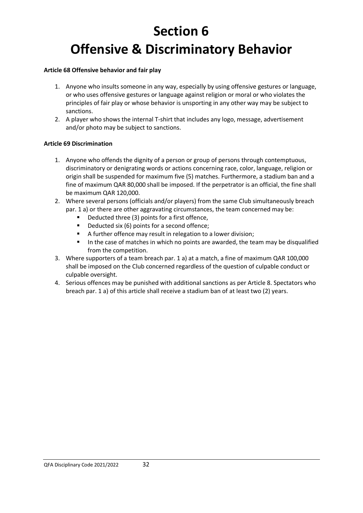# **Section 6 Offensive & Discriminatory Behavior**

### **Article 68 Offensive behavior and fair play**

- 1. Anyone who insults someone in any way, especially by using offensive gestures or language, or who uses offensive gestures or language against religion or moral or who violates the principles of fair play or whose behavior is unsporting in any other way may be subject to sanctions.
- 2. A player who shows the internal T-shirt that includes any logo, message, advertisement and/or photo may be subject to sanctions.

#### **Article 69 Discrimination**

- 1. Anyone who offends the dignity of a person or group of persons through contemptuous, discriminatory or denigrating words or actions concerning race, color, language, religion or origin shall be suspended for maximum five (5) matches. Furthermore, a stadium ban and a fine of maximum QAR 80,000 shall be imposed. If the perpetrator is an official, the fine shall be maximum QAR 120,000.
- 2. Where several persons (officials and/or players) from the same Club simultaneously breach par. 1 a) or there are other aggravating circumstances, the team concerned may be:
	- Deducted three (3) points for a first offence,
	- Deducted six (6) points for a second offence;
	- A further offence may result in relegation to a lower division;
	- In the case of matches in which no points are awarded, the team may be disqualified from the competition.
- 3. Where supporters of a team breach par. 1 a) at a match, a fine of maximum QAR 100,000 shall be imposed on the Club concerned regardless of the question of culpable conduct or culpable oversight.
- 4. Serious offences may be punished with additional sanctions as per Article 8. Spectators who breach par. 1 a) of this article shall receive a stadium ban of at least two (2) years.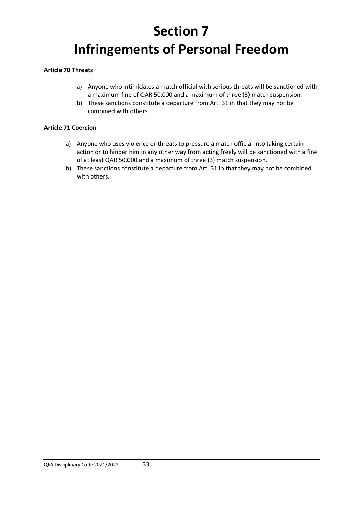# **Section 7 Infringements of Personal Freedom**

#### **Article 70 Threats**

- a) Anyone who intimidates a match official with serious threats will be sanctioned with a maximum fine of QAR 50,000 and a maximum of three (3) match suspension.
- b) These sanctions constitute a departure from Art. 31 in that they may not be combined with others.

#### **Article 71 Coercion**

- a) Anyone who uses violence or threats to pressure a match official into taking certain action or to hinder him in any other way from acting freely will be sanctioned with a fine of at least QAR 50,000 and a maximum of three (3) match suspension.
- b) These sanctions constitute a departure from Art. 31 in that they may not be combined with others.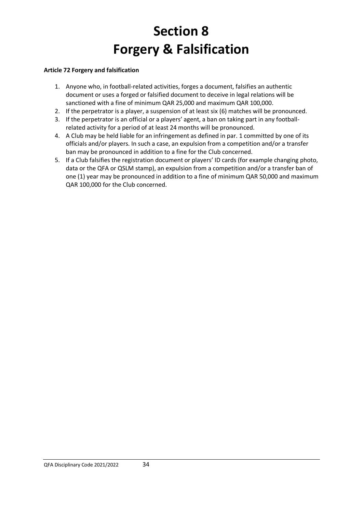# **Section 8 Forgery & Falsification**

## **Article 72 Forgery and falsification**

- 1. Anyone who, in football-related activities, forges a document, falsifies an authentic document or uses a forged or falsified document to deceive in legal relations will be sanctioned with a fine of minimum QAR 25,000 and maximum QAR 100,000.
- 2. If the perpetrator is a player, a suspension of at least six (6) matches will be pronounced.
- 3. If the perpetrator is an official or a players' agent, a ban on taking part in any footballrelated activity for a period of at least 24 months will be pronounced.
- 4. A Club may be held liable for an infringement as defined in par. 1 committed by one of its officials and/or players. In such a case, an expulsion from a competition and/or a transfer ban may be pronounced in addition to a fine for the Club concerned.
- 5. If a Club falsifies the registration document or players' ID cards (for example changing photo, data or the QFA or QSLM stamp), an expulsion from a competition and/or a transfer ban of one (1) year may be pronounced in addition to a fine of minimum QAR 50,000 and maximum QAR 100,000 for the Club concerned.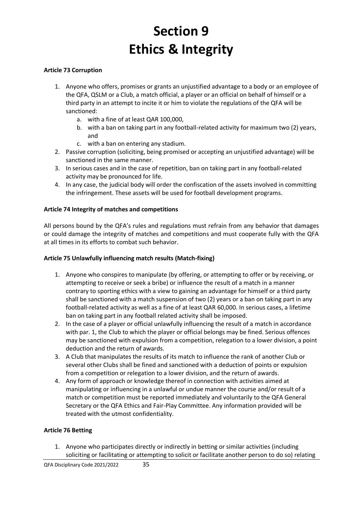# **Section 9 Ethics & Integrity**

### **Article 73 Corruption**

- 1. Anyone who offers, promises or grants an unjustified advantage to a body or an employee of the QFA, QSLM or a Club, a match official, a player or an official on behalf of himself or a third party in an attempt to incite it or him to violate the regulations of the QFA will be sanctioned:
	- a. with a fine of at least QAR 100,000,
	- b. with a ban on taking part in any football-related activity for maximum two (2) years, and
	- c. with a ban on entering any stadium.
- 2. Passive corruption (soliciting, being promised or accepting an unjustified advantage) will be sanctioned in the same manner.
- 3. In serious cases and in the case of repetition, ban on taking part in any football-related activity may be pronounced for life.
- 4. In any case, the judicial body will order the confiscation of the assets involved in committing the infringement. These assets will be used for football development programs.

#### **Article 74 Integrity of matches and competitions**

All persons bound by the QFA's rules and regulations must refrain from any behavior that damages or could damage the integrity of matches and competitions and must cooperate fully with the QFA at all times in its efforts to combat such behavior.

#### **Article 75 Unlawfully influencing match results (Match-fixing)**

- 1. Anyone who conspires to manipulate (by offering, or attempting to offer or by receiving, or attempting to receive or seek a bribe) or influence the result of a match in a manner contrary to sporting ethics with a view to gaining an advantage for himself or a third party shall be sanctioned with a match suspension of two (2) years or a ban on taking part in any football-related activity as well as a fine of at least QAR 60,000. In serious cases, a lifetime ban on taking part in any football related activity shall be imposed.
- 2. In the case of a player or official unlawfully influencing the result of a match in accordance with par. 1, the Club to which the player or official belongs may be fined. Serious offences may be sanctioned with expulsion from a competition, relegation to a lower division, a point deduction and the return of awards.
- 3. A Club that manipulates the results of its match to influence the rank of another Club or several other Clubs shall be fined and sanctioned with a deduction of points or expulsion from a competition or relegation to a lower division, and the return of awards.
- 4. Any form of approach or knowledge thereof in connection with activities aimed at manipulating or influencing in a unlawful or undue manner the course and/or result of a match or competition must be reported immediately and voluntarily to the QFA General Secretary or the QFA Ethics and Fair-Play Committee. Any information provided will be treated with the utmost confidentiality.

#### **Article 76 Betting**

1. Anyone who participates directly or indirectly in betting or similar activities (including soliciting or facilitating or attempting to solicit or facilitate another person to do so) relating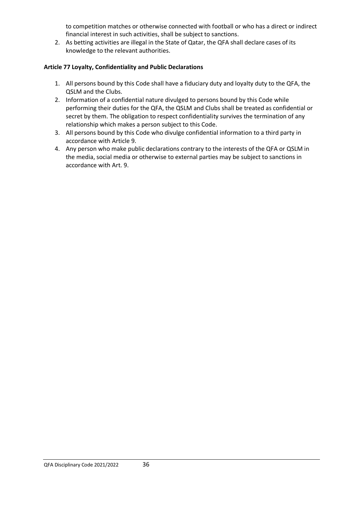to competition matches or otherwise connected with football or who has a direct or indirect financial interest in such activities, shall be subject to sanctions.

2. As betting activities are illegal in the State of Qatar, the QFA shall declare cases of its knowledge to the relevant authorities.

## **Article 77 Loyalty, Confidentiality and Public Declarations**

- 1. All persons bound by this Code shall have a fiduciary duty and loyalty duty to the QFA, the QSLM and the Clubs.
- 2. Information of a confidential nature divulged to persons bound by this Code while performing their duties for the QFA, the QSLM and Clubs shall be treated as confidential or secret by them. The obligation to respect confidentiality survives the termination of any relationship which makes a person subject to this Code.
- 3. All persons bound by this Code who divulge confidential information to a third party in accordance with Article 9.
- 4. Any person who make public declarations contrary to the interests of the QFA or QSLM in the media, social media or otherwise to external parties may be subject to sanctions in accordance with Art. 9.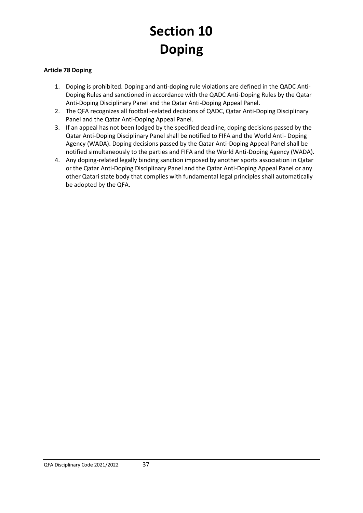# **Section 10 Doping**

## **Article 78 Doping**

- 1. Doping is prohibited. Doping and anti-doping rule violations are defined in the QADC Anti-Doping Rules and sanctioned in accordance with the QADC Anti-Doping Rules by the Qatar Anti-Doping Disciplinary Panel and the Qatar Anti-Doping Appeal Panel.
- 2. The QFA recognizes all football-related decisions of QADC, Qatar Anti-Doping Disciplinary Panel and the Qatar Anti-Doping Appeal Panel.
- 3. If an appeal has not been lodged by the specified deadline, doping decisions passed by the Qatar Anti-Doping Disciplinary Panel shall be notified to FIFA and the World Anti- Doping Agency (WADA). Doping decisions passed by the Qatar Anti-Doping Appeal Panel shall be notified simultaneously to the parties and FIFA and the World Anti-Doping Agency (WADA).
- 4. Any doping-related legally binding sanction imposed by another sports association in Qatar or the Qatar Anti-Doping Disciplinary Panel and the Qatar Anti-Doping Appeal Panel or any other Qatari state body that complies with fundamental legal principles shall automatically be adopted by the QFA.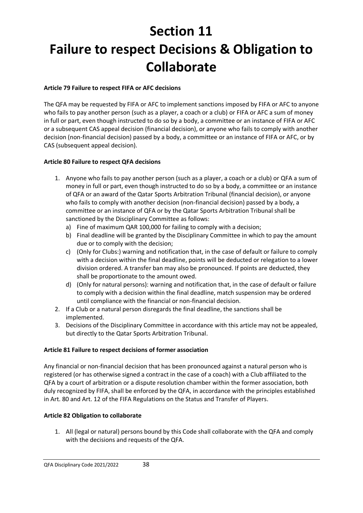# **Section 11 Failure to respect Decisions & Obligation to Collaborate**

## **Article 79 Failure to respect FIFA or AFC decisions**

The QFA may be requested by FIFA or AFC to implement sanctions imposed by FIFA or AFC to anyone who fails to pay another person (such as a player, a coach or a club) or FIFA or AFC a sum of money in full or part, even though instructed to do so by a body, a committee or an instance of FIFA or AFC or a subsequent CAS appeal decision (financial decision), or anyone who fails to comply with another decision (non-financial decision) passed by a body, a committee or an instance of FIFA or AFC, or by CAS (subsequent appeal decision).

## **Article 80 Failure to respect QFA decisions**

- 1. Anyone who fails to pay another person (such as a player, a coach or a club) or QFA a sum of money in full or part, even though instructed to do so by a body, a committee or an instance of QFA or an award of the Qatar Sports Arbitration Tribunal (financial decision), or anyone who fails to comply with another decision (non-financial decision) passed by a body, a committee or an instance of QFA or by the Qatar Sports Arbitration Tribunal shall be sanctioned by the Disciplinary Committee as follows:
	- a) Fine of maximum QAR 100,000 for failing to comply with a decision;
	- b) Final deadline will be granted by the Disciplinary Committee in which to pay the amount due or to comply with the decision;
	- c) (Only for Clubs:) warning and notification that, in the case of default or failure to comply with a decision within the final deadline, points will be deducted or relegation to a lower division ordered. A transfer ban may also be pronounced. If points are deducted, they shall be proportionate to the amount owed.
	- d) (Only for natural persons): warning and notification that, in the case of default or failure to comply with a decision within the final deadline, match suspension may be ordered until compliance with the financial or non-financial decision.
- 2. If a Club or a natural person disregards the final deadline, the sanctions shall be implemented.
- 3. Decisions of the Disciplinary Committee in accordance with this article may not be appealed, but directly to the Qatar Sports Arbitration Tribunal.

### **Article 81 Failure to respect decisions of former association**

Any financial or non-financial decision that has been pronounced against a natural person who is registered (or has otherwise signed a contract in the case of a coach) with a Club affiliated to the QFA by a court of arbitration or a dispute resolution chamber within the former association, both duly recognized by FIFA, shall be enforced by the QFA, in accordance with the principles established in Art. 80 and Art. 12 of the FIFA Regulations on the Status and Transfer of Players.

### **Article 82 Obligation to collaborate**

1. All (legal or natural) persons bound by this Code shall collaborate with the QFA and comply with the decisions and requests of the QFA.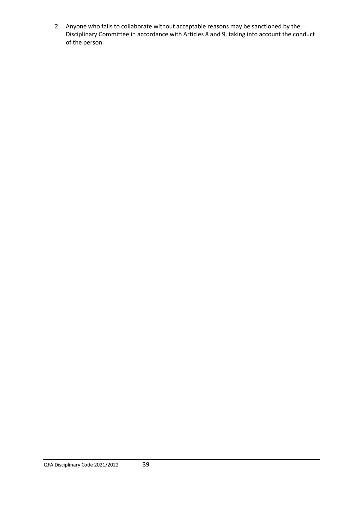2. Anyone who fails to collaborate without acceptable reasons may be sanctioned by the Disciplinary Committee in accordance with Articles 8 and 9, taking into account the conduct of the person.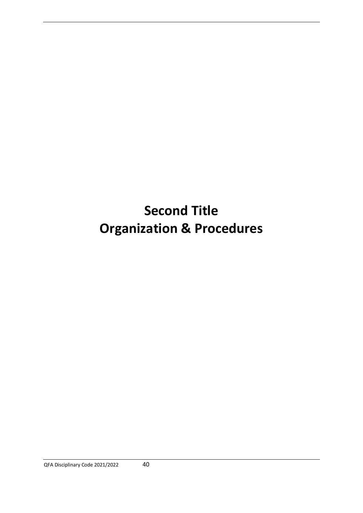# **Second Title Organization & Procedures**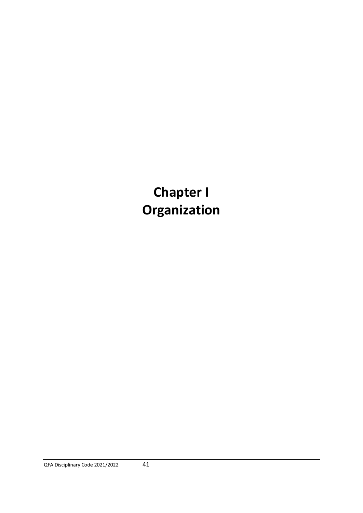**Chapter I Organization**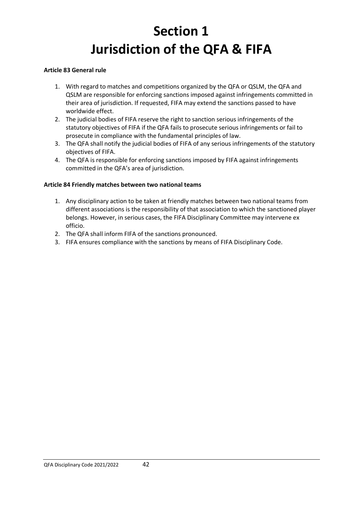# **Section 1 Jurisdiction of the QFA & FIFA**

### **Article 83 General rule**

- 1. With regard to matches and competitions organized by the QFA or QSLM, the QFA and QSLM are responsible for enforcing sanctions imposed against infringements committed in their area of jurisdiction. If requested, FIFA may extend the sanctions passed to have worldwide effect.
- 2. The judicial bodies of FIFA reserve the right to sanction serious infringements of the statutory objectives of FIFA if the QFA fails to prosecute serious infringements or fail to prosecute in compliance with the fundamental principles of law.
- 3. The QFA shall notify the judicial bodies of FIFA of any serious infringements of the statutory objectives of FIFA.
- 4. The QFA is responsible for enforcing sanctions imposed by FIFA against infringements committed in the QFA's area of jurisdiction.

### **Article 84 Friendly matches between two national teams**

- 1. Any disciplinary action to be taken at friendly matches between two national teams from different associations is the responsibility of that association to which the sanctioned player belongs. However, in serious cases, the FIFA Disciplinary Committee may intervene ex officio.
- 2. The QFA shall inform FIFA of the sanctions pronounced.
- 3. FIFA ensures compliance with the sanctions by means of FIFA Disciplinary Code.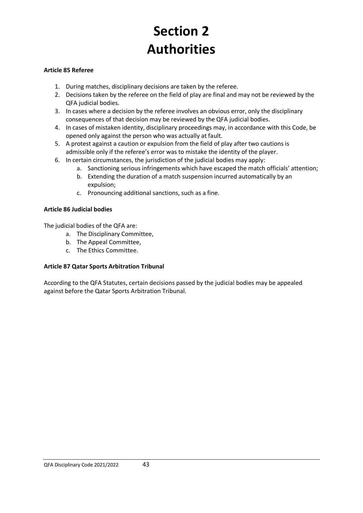# **Section 2 Authorities**

### **Article 85 Referee**

- 1. During matches, disciplinary decisions are taken by the referee.
- 2. Decisions taken by the referee on the field of play are final and may not be reviewed by the QFA judicial bodies.
- 3. In cases where a decision by the referee involves an obvious error, only the disciplinary consequences of that decision may be reviewed by the QFA judicial bodies.
- 4. In cases of mistaken identity, disciplinary proceedings may, in accordance with this Code, be opened only against the person who was actually at fault.
- 5. A protest against a caution or expulsion from the field of play after two cautions is admissible only if the referee's error was to mistake the identity of the player.
- 6. In certain circumstances, the jurisdiction of the judicial bodies may apply:
	- a. Sanctioning serious infringements which have escaped the match officials' attention;
		- b. Extending the duration of a match suspension incurred automatically by an expulsion;
		- c. Pronouncing additional sanctions, such as a fine.

### **Article 86 Judicial bodies**

The judicial bodies of the QFA are:

- a. The Disciplinary Committee,
- b. The Appeal Committee,
- c. The Ethics Committee.

### **Article 87 Qatar Sports Arbitration Tribunal**

According to the QFA Statutes, certain decisions passed by the judicial bodies may be appealed against before the Qatar Sports Arbitration Tribunal.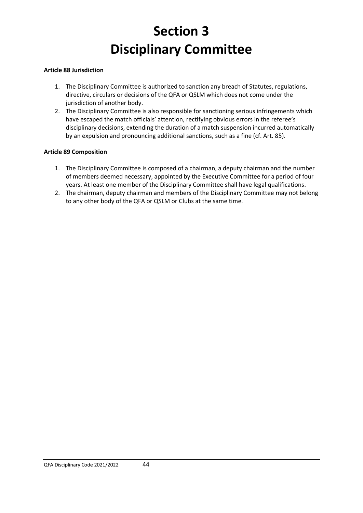# **Section 3 Disciplinary Committee**

### **Article 88 Jurisdiction**

- 1. The Disciplinary Committee is authorized to sanction any breach of Statutes, regulations, directive, circulars or decisions of the QFA or QSLM which does not come under the jurisdiction of another body.
- 2. The Disciplinary Committee is also responsible for sanctioning serious infringements which have escaped the match officials' attention, rectifying obvious errors in the referee's disciplinary decisions, extending the duration of a match suspension incurred automatically by an expulsion and pronouncing additional sanctions, such as a fine (cf. Art. 85).

#### **Article 89 Composition**

- 1. The Disciplinary Committee is composed of a chairman, a deputy chairman and the number of members deemed necessary, appointed by the Executive Committee for a period of four years. At least one member of the Disciplinary Committee shall have legal qualifications.
- 2. The chairman, deputy chairman and members of the Disciplinary Committee may not belong to any other body of the QFA or QSLM or Clubs at the same time.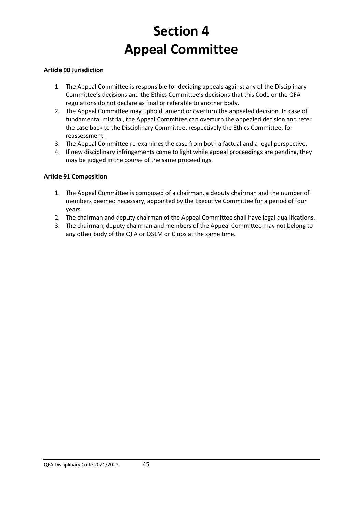# **Section 4 Appeal Committee**

### **Article 90 Jurisdiction**

- 1. The Appeal Committee is responsible for deciding appeals against any of the Disciplinary Committee's decisions and the Ethics Committee's decisions that this Code or the QFA regulations do not declare as final or referable to another body.
- 2. The Appeal Committee may uphold, amend or overturn the appealed decision. In case of fundamental mistrial, the Appeal Committee can overturn the appealed decision and refer the case back to the Disciplinary Committee, respectively the Ethics Committee, for reassessment.
- 3. The Appeal Committee re-examines the case from both a factual and a legal perspective.
- 4. If new disciplinary infringements come to light while appeal proceedings are pending, they may be judged in the course of the same proceedings.

### **Article 91 Composition**

- 1. The Appeal Committee is composed of a chairman, a deputy chairman and the number of members deemed necessary, appointed by the Executive Committee for a period of four years.
- 2. The chairman and deputy chairman of the Appeal Committee shall have legal qualifications.
- 3. The chairman, deputy chairman and members of the Appeal Committee may not belong to any other body of the QFA or QSLM or Clubs at the same time.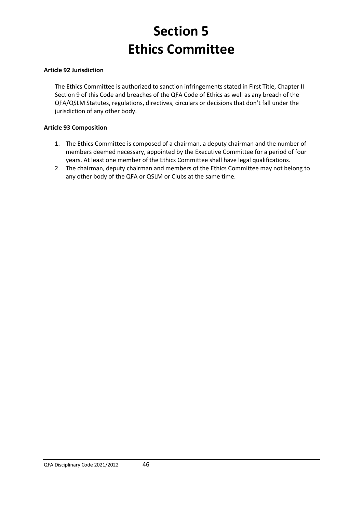# **Section 5 Ethics Committee**

#### **Article 92 Jurisdiction**

The Ethics Committee is authorized to sanction infringements stated in First Title, Chapter II Section 9 of this Code and breaches of the QFA Code of Ethics as well as any breach of the QFA/QSLM Statutes, regulations, directives, circulars or decisions that don't fall under the jurisdiction of any other body.

#### **Article 93 Composition**

- 1. The Ethics Committee is composed of a chairman, a deputy chairman and the number of members deemed necessary, appointed by the Executive Committee for a period of four years. At least one member of the Ethics Committee shall have legal qualifications.
- 2. The chairman, deputy chairman and members of the Ethics Committee may not belong to any other body of the QFA or QSLM or Clubs at the same time.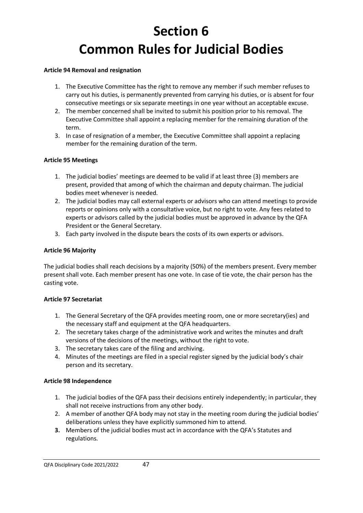# **Section 6 Common Rules for Judicial Bodies**

#### **Article 94 Removal and resignation**

- 1. The Executive Committee has the right to remove any member if such member refuses to carry out his duties, is permanently prevented from carrying his duties, or is absent for four consecutive meetings or six separate meetings in one year without an acceptable excuse.
- 2. The member concerned shall be invited to submit his position prior to his removal. The Executive Committee shall appoint a replacing member for the remaining duration of the term.
- 3. In case of resignation of a member, the Executive Committee shall appoint a replacing member for the remaining duration of the term.

### **Article 95 Meetings**

- 1. The judicial bodies' meetings are deemed to be valid if at least three (3) members are present, provided that among of which the chairman and deputy chairman. The judicial bodies meet whenever is needed.
- 2. The judicial bodies may call external experts or advisors who can attend meetings to provide reports or opinions only with a consultative voice, but no right to vote. Any fees related to experts or advisors called by the judicial bodies must be approved in advance by the QFA President or the General Secretary.
- 3. Each party involved in the dispute bears the costs of its own experts or advisors.

### **Article 96 Majority**

The judicial bodies shall reach decisions by a majority (50%) of the members present. Every member present shall vote. Each member present has one vote. In case of tie vote, the chair person has the casting vote.

### **Article 97 Secretariat**

- 1. The General Secretary of the QFA provides meeting room, one or more secretary(ies) and the necessary staff and equipment at the QFA headquarters.
- 2. The secretary takes charge of the administrative work and writes the minutes and draft versions of the decisions of the meetings, without the right to vote.
- 3. The secretary takes care of the filing and archiving.
- 4. Minutes of the meetings are filed in a special register signed by the judicial body's chair person and its secretary.

### **Article 98 Independence**

- 1. The judicial bodies of the QFA pass their decisions entirely independently; in particular, they shall not receive instructions from any other body.
- 2. A member of another QFA body may not stay in the meeting room during the judicial bodies' deliberations unless they have explicitly summoned him to attend.
- **3.** Members of the judicial bodies must act in accordance with the QFA's Statutes and regulations.

QFA Disciplinary Code 2021/2022 47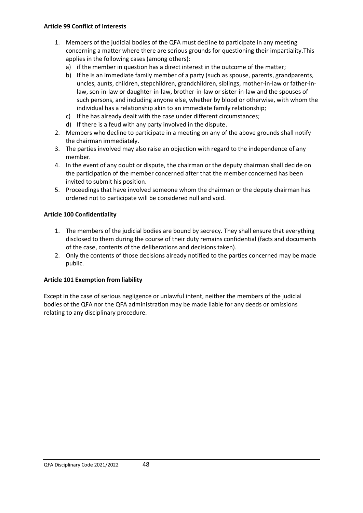#### **Article 99 Conflict of Interests**

- 1. Members of the judicial bodies of the QFA must decline to participate in any meeting concerning a matter where there are serious grounds for questioning their impartiality.This applies in the following cases (among others):
	- a) if the member in question has a direct interest in the outcome of the matter;
	- b) If he is an immediate family member of a party (such as spouse, parents, grandparents, uncles, aunts, children, stepchildren, grandchildren, siblings, mother-in-law or father-inlaw, son-in-law or daughter-in-law, brother-in-law or sister-in-law and the spouses of such persons, and including anyone else, whether by blood or otherwise, with whom the individual has a relationship akin to an immediate family relationship;
	- c) If he has already dealt with the case under different circumstances;
	- d) If there is a feud with any party involved in the dispute.
- 2. Members who decline to participate in a meeting on any of the above grounds shall notify the chairman immediately.
- 3. The parties involved may also raise an objection with regard to the independence of any member.
- 4. In the event of any doubt or dispute, the chairman or the deputy chairman shall decide on the participation of the member concerned after that the member concerned has been invited to submit his position.
- 5. Proceedings that have involved someone whom the chairman or the deputy chairman has ordered not to participate will be considered null and void.

### **Article 100 Confidentiality**

- 1. The members of the judicial bodies are bound by secrecy. They shall ensure that everything disclosed to them during the course of their duty remains confidential (facts and documents of the case, contents of the deliberations and decisions taken).
- 2. Only the contents of those decisions already notified to the parties concerned may be made public.

### **Article 101 Exemption from liability**

Except in the case of serious negligence or unlawful intent, neither the members of the judicial bodies of the QFA nor the QFA administration may be made liable for any deeds or omissions relating to any disciplinary procedure.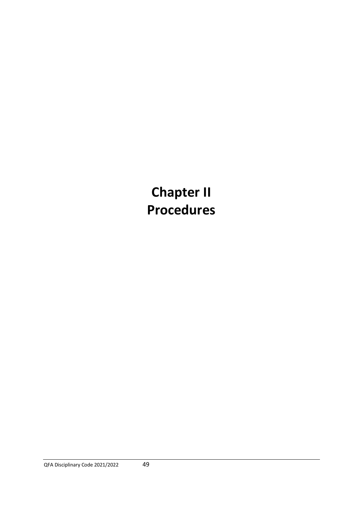**Chapter II Procedures**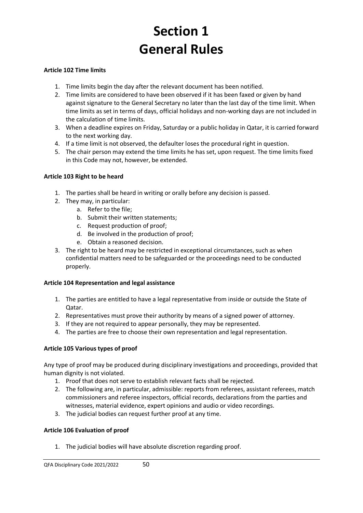# **Section 1 General Rules**

### **Article 102 Time limits**

- 1. Time limits begin the day after the relevant document has been notified.
- 2. Time limits are considered to have been observed if it has been faxed or given by hand against signature to the General Secretary no later than the last day of the time limit. When time limits as set in terms of days, official holidays and non-working days are not included in the calculation of time limits.
- 3. When a deadline expires on Friday, Saturday or a public holiday in Qatar, it is carried forward to the next working day.
- 4. If a time limit is not observed, the defaulter loses the procedural right in question.
- 5. The chair person may extend the time limits he has set, upon request. The time limits fixed in this Code may not, however, be extended.

### **Article 103 Right to be heard**

- 1. The parties shall be heard in writing or orally before any decision is passed.
- 2. They may, in particular:
	- a. Refer to the file;
	- b. Submit their written statements;
	- c. Request production of proof;
	- d. Be involved in the production of proof;
	- e. Obtain a reasoned decision.
- 3. The right to be heard may be restricted in exceptional circumstances, such as when confidential matters need to be safeguarded or the proceedings need to be conducted properly.

### **Article 104 Representation and legal assistance**

- 1. The parties are entitled to have a legal representative from inside or outside the State of Qatar.
- 2. Representatives must prove their authority by means of a signed power of attorney.
- 3. If they are not required to appear personally, they may be represented.
- 4. The parties are free to choose their own representation and legal representation.

### **Article 105 Various types of proof**

Any type of proof may be produced during disciplinary investigations and proceedings, provided that human dignity is not violated.

- 1. Proof that does not serve to establish relevant facts shall be rejected.
- 2. The following are, in particular, admissible: reports from referees, assistant referees, match commissioners and referee inspectors, official records, declarations from the parties and witnesses, material evidence, expert opinions and audio or video recordings.
- 3. The judicial bodies can request further proof at any time.

### **Article 106 Evaluation of proof**

1. The judicial bodies will have absolute discretion regarding proof.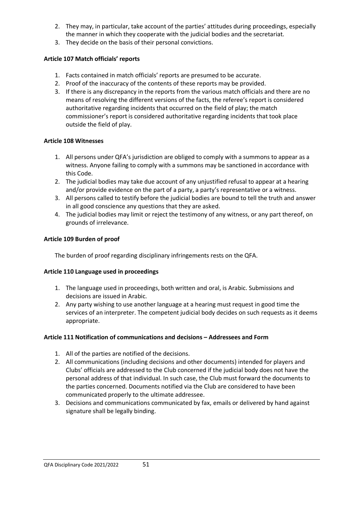- 2. They may, in particular, take account of the parties' attitudes during proceedings, especially the manner in which they cooperate with the judicial bodies and the secretariat.
- 3. They decide on the basis of their personal convictions.

## **Article 107 Match officials' reports**

- 1. Facts contained in match officials' reports are presumed to be accurate.
- 2. Proof of the inaccuracy of the contents of these reports may be provided.
- 3. If there is any discrepancy in the reports from the various match officials and there are no means of resolving the different versions of the facts, the referee's report is considered authoritative regarding incidents that occurred on the field of play; the match commissioner's report is considered authoritative regarding incidents that took place outside the field of play.

# **Article 108 Witnesses**

- 1. All persons under QFA's jurisdiction are obliged to comply with a summons to appear as a witness. Anyone failing to comply with a summons may be sanctioned in accordance with this Code.
- 2. The judicial bodies may take due account of any unjustified refusal to appear at a hearing and/or provide evidence on the part of a party, a party's representative or a witness.
- 3. All persons called to testify before the judicial bodies are bound to tell the truth and answer in all good conscience any questions that they are asked.
- 4. The judicial bodies may limit or reject the testimony of any witness, or any part thereof, on grounds of irrelevance.

# **Article 109 Burden of proof**

The burden of proof regarding disciplinary infringements rests on the QFA.

## **Article 110 Language used in proceedings**

- 1. The language used in proceedings, both written and oral, is Arabic. Submissions and decisions are issued in Arabic.
- 2. Any party wishing to use another language at a hearing must request in good time the services of an interpreter. The competent judicial body decides on such requests as it deems appropriate.

## **Article 111 Notification of communications and decisions – Addressees and Form**

- 1. All of the parties are notified of the decisions.
- 2. All communications (including decisions and other documents) intended for players and Clubs' officials are addressed to the Club concerned if the judicial body does not have the personal address of that individual. In such case, the Club must forward the documents to the parties concerned. Documents notified via the Club are considered to have been communicated properly to the ultimate addressee.
- 3. Decisions and communications communicated by fax, emails or delivered by hand against signature shall be legally binding.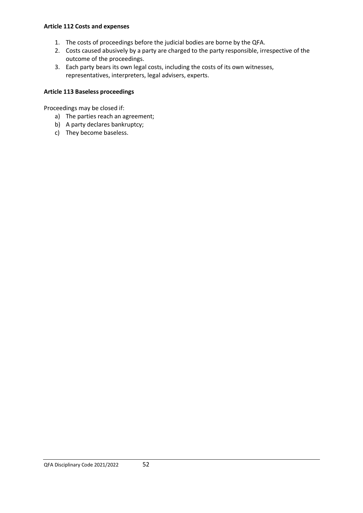#### **Article 112 Costs and expenses**

- 1. The costs of proceedings before the judicial bodies are borne by the QFA.
- 2. Costs caused abusively by a party are charged to the party responsible, irrespective of the outcome of the proceedings.
- 3. Each party bears its own legal costs, including the costs of its own witnesses, representatives, interpreters, legal advisers, experts.

## **Article 113 Baseless proceedings**

Proceedings may be closed if:

- a) The parties reach an agreement;
- b) A party declares bankruptcy;
- c) They become baseless.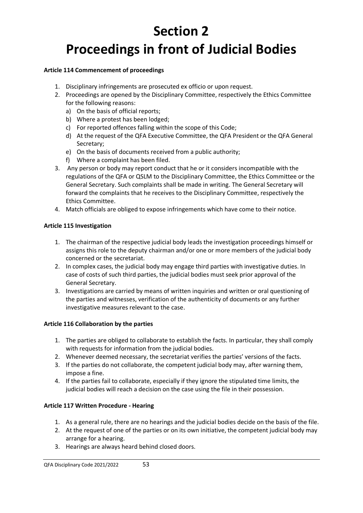# **Section 2 Proceedings in front of Judicial Bodies**

## **Article 114 Commencement of proceedings**

- 1. Disciplinary infringements are prosecuted ex officio or upon request.
- 2. Proceedings are opened by the Disciplinary Committee, respectively the Ethics Committee for the following reasons:
	- a) On the basis of official reports;
	- b) Where a protest has been lodged;
	- c) For reported offences falling within the scope of this Code;
	- d) At the request of the QFA Executive Committee, the QFA President or the QFA General Secretary;
	- e) On the basis of documents received from a public authority;
	- f) Where a complaint has been filed.
- 3. Any person or body may report conduct that he or it considers incompatible with the regulations of the QFA or QSLM to the Disciplinary Committee, the Ethics Committee or the General Secretary. Such complaints shall be made in writing. The General Secretary will forward the complaints that he receives to the Disciplinary Committee, respectively the Ethics Committee.
- 4. Match officials are obliged to expose infringements which have come to their notice.

## **Article 115 Investigation**

- 1. The chairman of the respective judicial body leads the investigation proceedings himself or assigns this role to the deputy chairman and/or one or more members of the judicial body concerned or the secretariat.
- 2. In complex cases, the judicial body may engage third parties with investigative duties. In case of costs of such third parties, the judicial bodies must seek prior approval of the General Secretary.
- 3. Investigations are carried by means of written inquiries and written or oral questioning of the parties and witnesses, verification of the authenticity of documents or any further investigative measures relevant to the case.

### **Article 116 Collaboration by the parties**

- 1. The parties are obliged to collaborate to establish the facts. In particular, they shall comply with requests for information from the judicial bodies.
- 2. Whenever deemed necessary, the secretariat verifies the parties' versions of the facts.
- 3. If the parties do not collaborate, the competent judicial body may, after warning them, impose a fine.
- 4. If the parties fail to collaborate, especially if they ignore the stipulated time limits, the judicial bodies will reach a decision on the case using the file in their possession.

### **Article 117 Written Procedure - Hearing**

- 1. As a general rule, there are no hearings and the judicial bodies decide on the basis of the file.
- 2. At the request of one of the parties or on its own initiative, the competent judicial body may arrange for a hearing.
- 3. Hearings are always heard behind closed doors.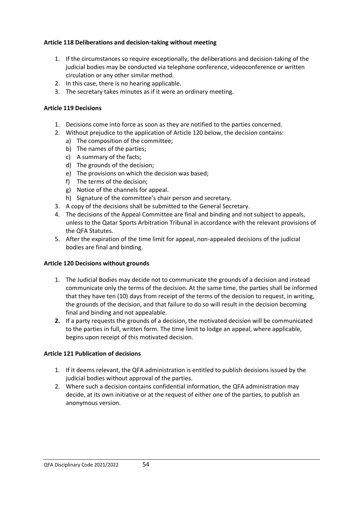### **Article 118 Deliberations and decision-taking without meeting**

- 1. If the circumstances so require exceptionally, the deliberations and decision-taking of the judicial bodies may be conducted via telephone conference, videoconference or written circulation or any other similar method.
- 2. In this case, there is no hearing applicable.
- 3. The secretary takes minutes as if it were an ordinary meeting.

## **Article 119 Decisions**

- 1. Decisions come into force as soon as they are notified to the parties concerned.
- 2. Without prejudice to the application of Article 120 below, the decision contains:
	- a) The composition of the committee;
	- b) The names of the parties;
	- c) A summary of the facts;
	- d) The grounds of the decision;
	- e) The provisions on which the decision was based;
	- f) The terms of the decision;
	- g) Notice of the channels for appeal.
	- h) Signature of the committee's chair person and secretary.
- 3. A copy of the decisions shall be submitted to the General Secretary.
- 4. The decisions of the Appeal Committee are final and binding and not subject to appeals, unless to the Qatar Sports Arbitration Tribunal in accordance with the relevant provisions of the QFA Statutes.
- 5. After the expiration of the time limit for appeal, non-appealed decisions of the judicial bodies are final and binding.

### **Article 120 Decisions without grounds**

- 1. The Judicial Bodies may decide not to communicate the grounds of a decision and instead communicate only the terms of the decision. At the same time, the parties shall be informed that they have ten (10) days from receipt of the terms of the decision to request, in writing, the grounds of the decision, and that failure to do so will result in the decision becoming final and binding and not appealable.
- **2.** If a party requests the grounds of a decision, the motivated decision will be communicated to the parties in full, written form. The time limit to lodge an appeal, where applicable, begins upon receipt of this motivated decision.

### **Article 121 Publication of decisions**

- 1. If it deems relevant, the QFA administration is entitled to publish decisions issued by the judicial bodies without approval of the parties.
- 2. Where such a decision contains confidential information, the QFA administration may decide, at its own initiative or at the request of either one of the parties, to publish an anonymous version.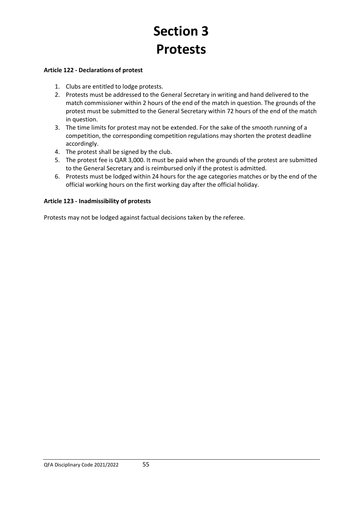# **Section 3 Protests**

#### **Article 122 - Declarations of protest**

- 1. Clubs are entitled to lodge protests.
- 2. Protests must be addressed to the General Secretary in writing and hand delivered to the match commissioner within 2 hours of the end of the match in question. The grounds of the protest must be submitted to the General Secretary within 72 hours of the end of the match in question.
- 3. The time limits for protest may not be extended. For the sake of the smooth running of a competition, the corresponding competition regulations may shorten the protest deadline accordingly.
- 4. The protest shall be signed by the club.
- 5. The protest fee is QAR 3,000. It must be paid when the grounds of the protest are submitted to the General Secretary and is reimbursed only if the protest is admitted.
- 6. Protests must be lodged within 24 hours for the age categories matches or by the end of the official working hours on the first working day after the official holiday.

### **Article 123 - Inadmissibility of protests**

Protests may not be lodged against factual decisions taken by the referee.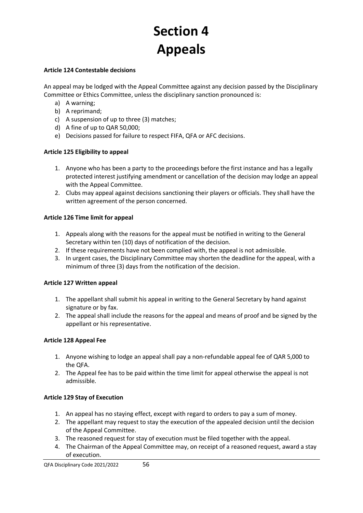# **Section 4 Appeals**

#### **Article 124 Contestable decisions**

An appeal may be lodged with the Appeal Committee against any decision passed by the Disciplinary Committee or Ethics Committee, unless the disciplinary sanction pronounced is:

- a) A warning;
- b) A reprimand;
- c) A suspension of up to three (3) matches;
- d) A fine of up to QAR 50,000;
- e) Decisions passed for failure to respect FIFA, QFA or AFC decisions.

#### **Article 125 Eligibility to appeal**

- 1. Anyone who has been a party to the proceedings before the first instance and has a legally protected interest justifying amendment or cancellation of the decision may lodge an appeal with the Appeal Committee.
- 2. Clubs may appeal against decisions sanctioning their players or officials. They shall have the written agreement of the person concerned.

#### **Article 126 Time limit for appeal**

- 1. Appeals along with the reasons for the appeal must be notified in writing to the General Secretary within ten (10) days of notification of the decision.
- 2. If these requirements have not been complied with, the appeal is not admissible.
- 3. In urgent cases, the Disciplinary Committee may shorten the deadline for the appeal, with a minimum of three (3) days from the notification of the decision.

#### **Article 127 Written appeal**

- 1. The appellant shall submit his appeal in writing to the General Secretary by hand against signature or by fax.
- 2. The appeal shall include the reasons for the appeal and means of proof and be signed by the appellant or his representative.

### **Article 128 Appeal Fee**

- 1. Anyone wishing to lodge an appeal shall pay a non-refundable appeal fee of QAR 5,000 to the QFA.
- 2. The Appeal fee has to be paid within the time limit for appeal otherwise the appeal is not admissible.

### **Article 129 Stay of Execution**

- 1. An appeal has no staying effect, except with regard to orders to pay a sum of money.
- 2. The appellant may request to stay the execution of the appealed decision until the decision of the Appeal Committee.
- 3. The reasoned request for stay of execution must be filed together with the appeal.
- 4. The Chairman of the Appeal Committee may, on receipt of a reasoned request, award a stay of execution.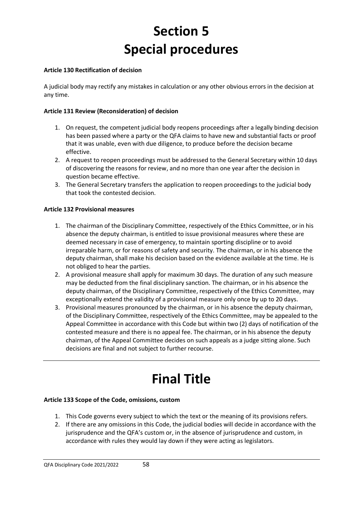# **Section 5 Special procedures**

## **Article 130 Rectification of decision**

A judicial body may rectify any mistakes in calculation or any other obvious errors in the decision at any time.

## **Article 131 Review (Reconsideration) of decision**

- 1. On request, the competent judicial body reopens proceedings after a legally binding decision has been passed where a party or the QFA claims to have new and substantial facts or proof that it was unable, even with due diligence, to produce before the decision became effective.
- 2. A request to reopen proceedings must be addressed to the General Secretary within 10 days of discovering the reasons for review, and no more than one year after the decision in question became effective.
- 3. The General Secretary transfers the application to reopen proceedings to the judicial body that took the contested decision.

## **Article 132 Provisional measures**

- 1. The chairman of the Disciplinary Committee, respectively of the Ethics Committee, or in his absence the deputy chairman, is entitled to issue provisional measures where these are deemed necessary in case of emergency, to maintain sporting discipline or to avoid irreparable harm, or for reasons of safety and security. The chairman, or in his absence the deputy chairman, shall make his decision based on the evidence available at the time. He is not obliged to hear the parties.
- 2. A provisional measure shall apply for maximum 30 days. The duration of any such measure may be deducted from the final disciplinary sanction. The chairman, or in his absence the deputy chairman, of the Disciplinary Committee, respectively of the Ethics Committee, may exceptionally extend the validity of a provisional measure only once by up to 20 days.
- 3. Provisional measures pronounced by the chairman, or in his absence the deputy chairman, of the Disciplinary Committee, respectively of the Ethics Committee, may be appealed to the Appeal Committee in accordance with this Code but within two (2) days of notification of the contested measure and there is no appeal fee. The chairman, or in his absence the deputy chairman, of the Appeal Committee decides on such appeals as a judge sitting alone. Such decisions are final and not subject to further recourse.

# **Final Title**

### **Article 133 Scope of the Code, omissions, custom**

- 1. This Code governs every subject to which the text or the meaning of its provisions refers.
- 2. If there are any omissions in this Code, the judicial bodies will decide in accordance with the jurisprudence and the QFA's custom or, in the absence of jurisprudence and custom, in accordance with rules they would lay down if they were acting as legislators.